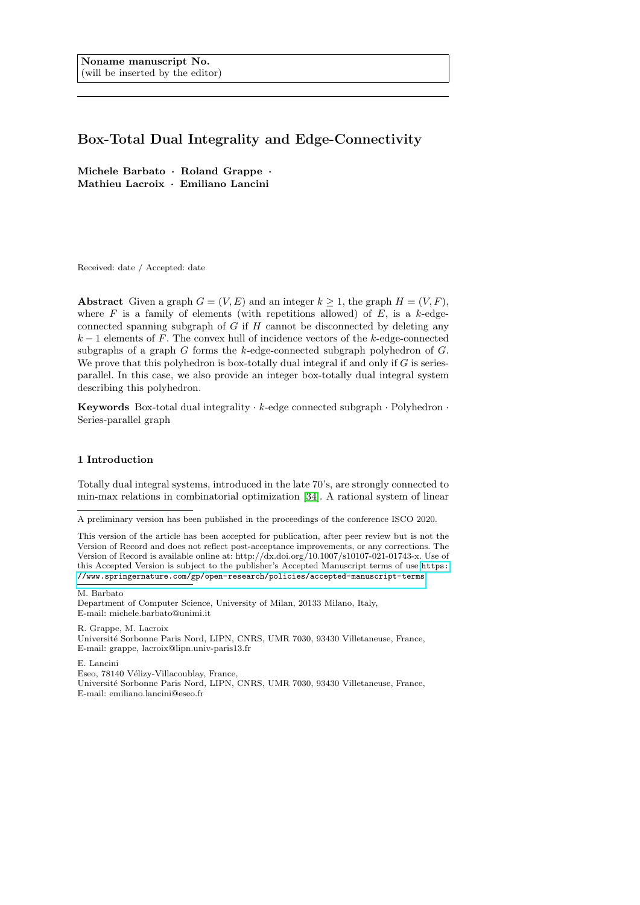## Box-Total Dual Integrality and Edge-Connectivity

Michele Barbato · Roland Grappe · Mathieu Lacroix · Emiliano Lancini

Received: date / Accepted: date

Abstract Given a graph  $G = (V, E)$  and an integer  $k \geq 1$ , the graph  $H = (V, F)$ , where  $F$  is a family of elements (with repetitions allowed) of  $E$ , is a k-edgeconnected spanning subgraph of  $G$  if  $H$  cannot be disconnected by deleting any  $k-1$  elements of F. The convex hull of incidence vectors of the k-edge-connected subgraphs of a graph  $G$  forms the  $k$ -edge-connected subgraph polyhedron of  $G$ . We prove that this polyhedron is box-totally dual integral if and only if  $G$  is seriesparallel. In this case, we also provide an integer box-totally dual integral system describing this polyhedron.

**Keywords** Box-total dual integrality  $\cdot$  k-edge connected subgraph  $\cdot$  Polyhedron  $\cdot$ Series-parallel graph

## 1 Introduction

Totally dual integral systems, introduced in the late 70's, are strongly connected to min-max relations in combinatorial optimization [\[34\]](#page-27-0). A rational system of linear

M. Barbato

R. Grappe, M. Lacroix Universit´e Sorbonne Paris Nord, LIPN, CNRS, UMR 7030, 93430 Villetaneuse, France, E-mail: grappe, lacroix@lipn.univ-paris13.fr

E. Lancini

Eseo, 78140 Vélizy-Villacoublay, France,

Universit´e Sorbonne Paris Nord, LIPN, CNRS, UMR 7030, 93430 Villetaneuse, France, E-mail: emiliano.lancini@eseo.fr

A preliminary version has been published in the proceedings of the conference ISCO 2020.

This version of the article has been accepted for publication, after peer review but is not the Version of Record and does not reflect post-acceptance improvements, or any corrections. The Version of Record is available online at: http://dx.doi.org/10.1007/s10107-021-01743-x. Use of this Accepted Version is subject to the publisher's Accepted Manuscript terms of use [https:](https://www.springernature.com/gp/open-research/policies/accepted-manuscript-terms) [//www.springernature.com/gp/open-research/policies/accepted-manuscript-terms](https://www.springernature.com/gp/open-research/policies/accepted-manuscript-terms).

Department of Computer Science, University of Milan, 20133 Milano, Italy, E-mail: michele.barbato@unimi.it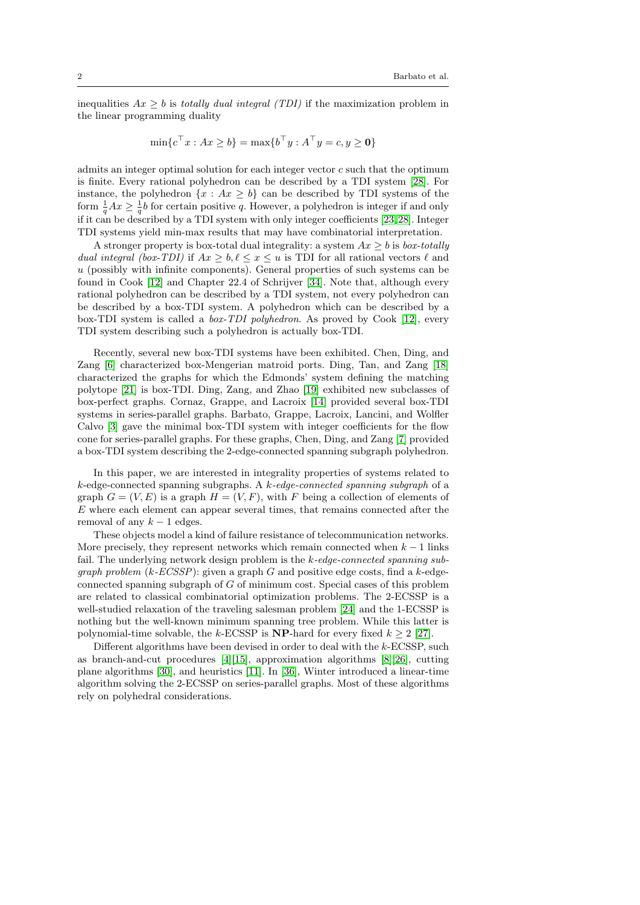inequalities  $Ax \geq b$  is totally dual integral (TDI) if the maximization problem in the linear programming duality

$$
\min\{c^\top x : Ax \ge b\} = \max\{b^\top y : A^\top y = c, y \ge \mathbf{0}\}\
$$

admits an integer optimal solution for each integer vector c such that the optimum is finite. Every rational polyhedron can be described by a TDI system [\[28\]](#page-27-1). For instance, the polyhedron  $\{x : Ax \geq b\}$  can be described by TDI systems of the form  $\frac{1}{q}Ax \geq \frac{1}{q}b$  for certain positive q. However, a polyhedron is integer if and only if it can be described by a TDI system with only integer coefficients [\[23,](#page-27-2)[28\]](#page-27-1). Integer TDI systems yield min-max results that may have combinatorial interpretation.

A stronger property is box-total dual integrality: a system  $Ax > b$  is box-totally dual integral (box-TDI) if  $Ax \geq b, \ell \leq x \leq u$  is TDI for all rational vectors  $\ell$  and  $u$  (possibly with infinite components). General properties of such systems can be found in Cook [\[12\]](#page-26-0) and Chapter 22.4 of Schrijver [\[34\]](#page-27-0). Note that, although every rational polyhedron can be described by a TDI system, not every polyhedron can be described by a box-TDI system. A polyhedron which can be described by a box-TDI system is called a box-TDI polyhedron. As proved by Cook [\[12\]](#page-26-0), every TDI system describing such a polyhedron is actually box-TDI.

Recently, several new box-TDI systems have been exhibited. Chen, Ding, and Zang [\[6\]](#page-26-1) characterized box-Mengerian matroid ports. Ding, Tan, and Zang [\[18\]](#page-27-3) characterized the graphs for which the Edmonds' system defining the matching polytope [\[21\]](#page-27-4) is box-TDI. Ding, Zang, and Zhao [\[19\]](#page-27-5) exhibited new subclasses of box-perfect graphs. Cornaz, Grappe, and Lacroix [\[14\]](#page-27-6) provided several box-TDI systems in series-parallel graphs. Barbato, Grappe, Lacroix, Lancini, and Wolfler Calvo [\[3\]](#page-26-2) gave the minimal box-TDI system with integer coefficients for the flow cone for series-parallel graphs. For these graphs, Chen, Ding, and Zang [\[7\]](#page-26-3) provided a box-TDI system describing the 2-edge-connected spanning subgraph polyhedron.

In this paper, we are interested in integrality properties of systems related to  $k$ -edge-connected spanning subgraphs. A  $k$ -edge-connected spanning subgraph of a graph  $G = (V, E)$  is a graph  $H = (V, F)$ , with F being a collection of elements of E where each element can appear several times, that remains connected after the removal of any  $k - 1$  edges.

These objects model a kind of failure resistance of telecommunication networks. More precisely, they represent networks which remain connected when  $k - 1$  links fail. The underlying network design problem is the k-edge-connected spanning sub*graph problem*  $(k$ -*ECSSP*): given a graph G and positive edge costs, find a k-edgeconnected spanning subgraph of G of minimum cost. Special cases of this problem are related to classical combinatorial optimization problems. The 2-ECSSP is a well-studied relaxation of the traveling salesman problem [\[24\]](#page-27-7) and the 1-ECSSP is nothing but the well-known minimum spanning tree problem. While this latter is polynomial-time solvable, the k-ECSSP is  $NP$ -hard for every fixed  $k > 2$  [\[27\]](#page-27-8).

Different algorithms have been devised in order to deal with the k-ECSSP, such as branch-and-cut procedures [\[4\]](#page-26-4)[\[15\]](#page-27-9), approximation algorithms [\[8\]](#page-26-5)[\[26\]](#page-27-10), cutting plane algorithms [\[30\]](#page-27-11), and heuristics [\[11\]](#page-26-6). In [\[36\]](#page-27-12), Winter introduced a linear-time algorithm solving the 2-ECSSP on series-parallel graphs. Most of these algorithms rely on polyhedral considerations.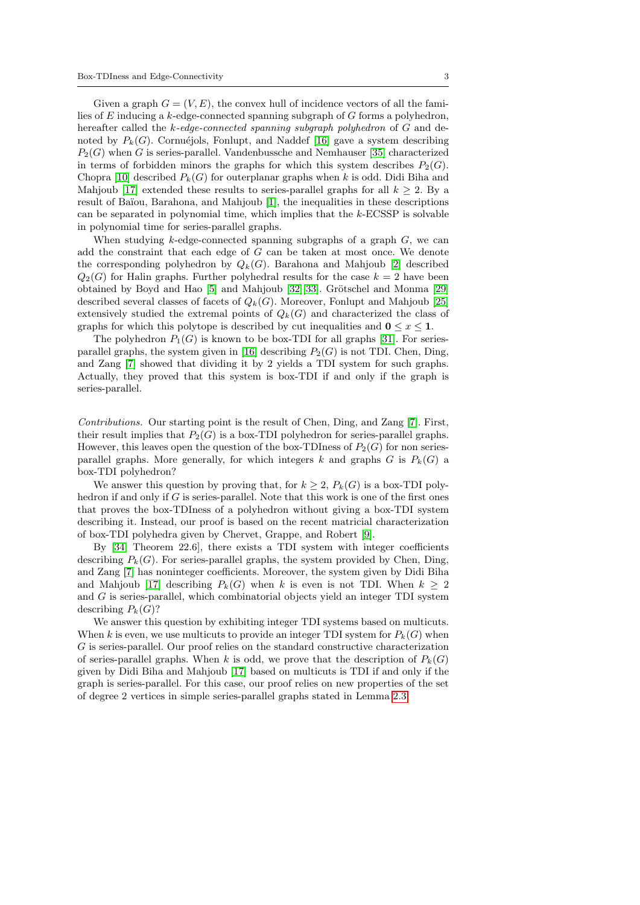Given a graph  $G = (V, E)$ , the convex hull of incidence vectors of all the families of E inducing a  $k$ -edge-connected spanning subgraph of G forms a polyhedron, hereafter called the k-edge-connected spanning subgraph polyhedron of G and denoted by  $P_k(G)$ . Cornuéjols, Fonlupt, and Naddef [\[16\]](#page-27-13) gave a system describing  $P_2(G)$  when G is series-parallel. Vandenbussche and Nemhauser [\[35\]](#page-27-14) characterized in terms of forbidden minors the graphs for which this system describes  $P_2(G)$ . Chopra [\[10\]](#page-26-7) described  $P_k(G)$  for outerplanar graphs when k is odd. Didi Biha and Mahjoub [\[17\]](#page-27-15) extended these results to series-parallel graphs for all  $k > 2$ . By a result of Ba¨ıou, Barahona, and Mahjoub [\[1\]](#page-26-8), the inequalities in these descriptions can be separated in polynomial time, which implies that the  $k$ -ECSSP is solvable in polynomial time for series-parallel graphs.

When studying  $k$ -edge-connected spanning subgraphs of a graph  $G$ , we can add the constraint that each edge of G can be taken at most once. We denote the corresponding polyhedron by  $Q_k(G)$ . Barahona and Mahjoub [\[2\]](#page-26-9) described  $Q_2(G)$  for Halin graphs. Further polyhedral results for the case  $k = 2$  have been obtained by Boyd and Hao  $[5]$  and Mahjoub  $[32][33]$  $[32][33]$ . Grötschel and Monma  $[29]$ described several classes of facets of  $Q_k(G)$ . Moreover, Fonlupt and Mahjoub [\[25\]](#page-27-19) extensively studied the extremal points of  $Q_k(G)$  and characterized the class of graphs for which this polytope is described by cut inequalities and  $0 \le x \le 1$ .

The polyhedron  $P_1(G)$  is known to be box-TDI for all graphs [\[31\]](#page-27-20). For series-parallel graphs, the system given in [\[16\]](#page-27-13) describing  $P_2(G)$  is not TDI. Chen, Ding, and Zang [\[7\]](#page-26-3) showed that dividing it by 2 yields a TDI system for such graphs. Actually, they proved that this system is box-TDI if and only if the graph is series-parallel.

Contributions. Our starting point is the result of Chen, Ding, and Zang [\[7\]](#page-26-3). First, their result implies that  $P_2(G)$  is a box-TDI polyhedron for series-parallel graphs. However, this leaves open the question of the box-TDIness of  $P_2(G)$  for non seriesparallel graphs. More generally, for which integers k and graphs  $G$  is  $P_k(G)$  a box-TDI polyhedron?

We answer this question by proving that, for  $k \geq 2$ ,  $P_k(G)$  is a box-TDI polyhedron if and only if  $G$  is series-parallel. Note that this work is one of the first ones that proves the box-TDIness of a polyhedron without giving a box-TDI system describing it. Instead, our proof is based on the recent matricial characterization of box-TDI polyhedra given by Chervet, Grappe, and Robert [\[9\]](#page-26-11).

By [\[34,](#page-27-0) Theorem 22.6], there exists a TDI system with integer coefficients describing  $P_k(G)$ . For series-parallel graphs, the system provided by Chen, Ding, and Zang [\[7\]](#page-26-3) has noninteger coefficients. Moreover, the system given by Didi Biha and Mahjoub [\[17\]](#page-27-15) describing  $P_k(G)$  when k is even is not TDI. When  $k > 2$ and G is series-parallel, which combinatorial objects yield an integer TDI system describing  $P_k(G)$ ?

We answer this question by exhibiting integer TDI systems based on multicuts. When k is even, we use multicuts to provide an integer TDI system for  $P_k(G)$  when G is series-parallel. Our proof relies on the standard constructive characterization of series-parallel graphs. When k is odd, we prove that the description of  $P_k(G)$ given by Didi Biha and Mahjoub [\[17\]](#page-27-15) based on multicuts is TDI if and only if the graph is series-parallel. For this case, our proof relies on new properties of the set of degree 2 vertices in simple series-parallel graphs stated in Lemma [2.3.](#page-4-0)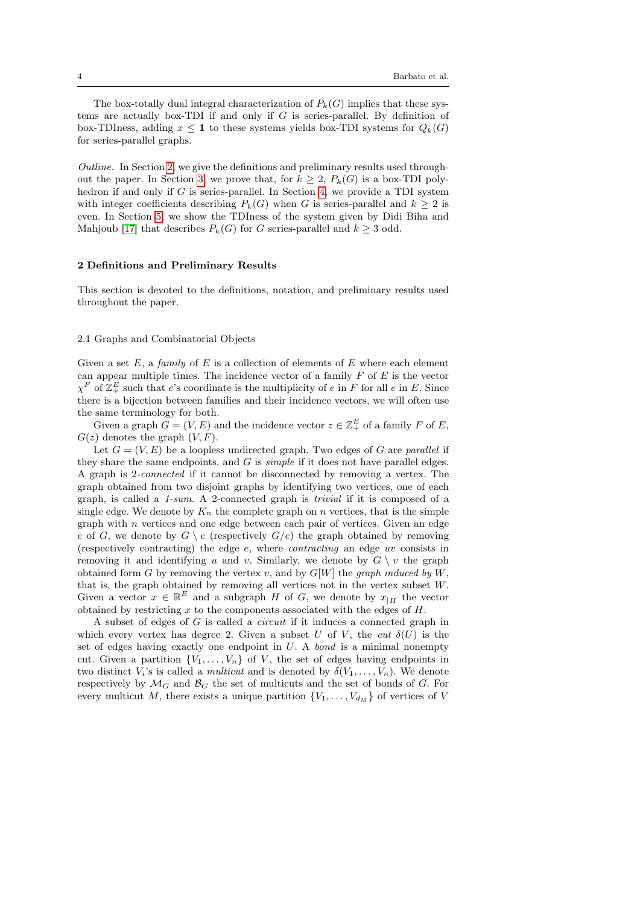The box-totally dual integral characterization of  $P_k(G)$  implies that these systems are actually box-TDI if and only if  $G$  is series-parallel. By definition of box-TDIness, adding  $x \leq 1$  to these systems yields box-TDI systems for  $Q_k(G)$ for series-parallel graphs.

Outline. In Section [2,](#page-3-0) we give the definitions and preliminary results used through-out the paper. In Section [3,](#page-7-0) we prove that, for  $k \geq 2$ ,  $P_k(G)$  is a box-TDI poly-hedron if and only if G is series-parallel. In Section [4,](#page-12-0) we provide a TDI system with integer coefficients describing  $P_k(G)$  when G is series-parallel and  $k \geq 2$  is even. In Section [5,](#page-15-0) we show the TDIness of the system given by Didi Biha and Mahjoub [\[17\]](#page-27-15) that describes  $P_k(G)$  for G series-parallel and  $k \geq 3$  odd.

## <span id="page-3-0"></span>2 Definitions and Preliminary Results

This section is devoted to the definitions, notation, and preliminary results used throughout the paper.

## 2.1 Graphs and Combinatorial Objects

Given a set  $E$ , a family of  $E$  is a collection of elements of  $E$  where each element can appear multiple times. The incidence vector of a family  $F$  of  $E$  is the vector  $\chi^F$  of  $\mathbb{Z}_+^E$  such that e's coordinate is the multiplicity of e in F for all e in E. Since there is a bijection between families and their incidence vectors, we will often use the same terminology for both.

Given a graph  $G = (V, E)$  and the incidence vector  $z \in \mathbb{Z}_+^E$  of a family F of E,  $G(z)$  denotes the graph  $(V, F)$ .

Let  $G = (V, E)$  be a loopless undirected graph. Two edges of G are parallel if they share the same endpoints, and  $G$  is *simple* if it does not have parallel edges. A graph is 2-connected if it cannot be disconnected by removing a vertex. The graph obtained from two disjoint graphs by identifying two vertices, one of each graph, is called a 1-sum. A 2-connected graph is trivial if it is composed of a single edge. We denote by  $K_n$  the complete graph on n vertices, that is the simple graph with n vertices and one edge between each pair of vertices. Given an edge e of G, we denote by  $G \setminus e$  (respectively  $G/e$ ) the graph obtained by removing (respectively contracting) the edge e, where contracting an edge uv consists in removing it and identifying u and v. Similarly, we denote by  $G \setminus v$  the graph obtained form G by removing the vertex v, and by  $G[W]$  the graph induced by W, that is, the graph obtained by removing all vertices not in the vertex subset  $W$ . Given a vector  $x \in \mathbb{R}^E$  and a subgraph H of G, we denote by  $x_{|H}$  the vector obtained by restricting  $x$  to the components associated with the edges of  $H$ .

A subset of edges of G is called a circuit if it induces a connected graph in which every vertex has degree 2. Given a subset U of V, the cut  $\delta(U)$  is the set of edges having exactly one endpoint in  $U$ . A bond is a minimal nonempty cut. Given a partition  $\{V_1, \ldots, V_n\}$  of V, the set of edges having endpoints in two distinct  $V_i$ 's is called a *multicut* and is denoted by  $\delta(V_1, \ldots, V_n)$ . We denote respectively by  $\mathcal{M}_G$  and  $\mathcal{B}_G$  the set of multicuts and the set of bonds of G. For every multicut M, there exists a unique partition  $\{V_1, \ldots, V_{d_M}\}$  of vertices of V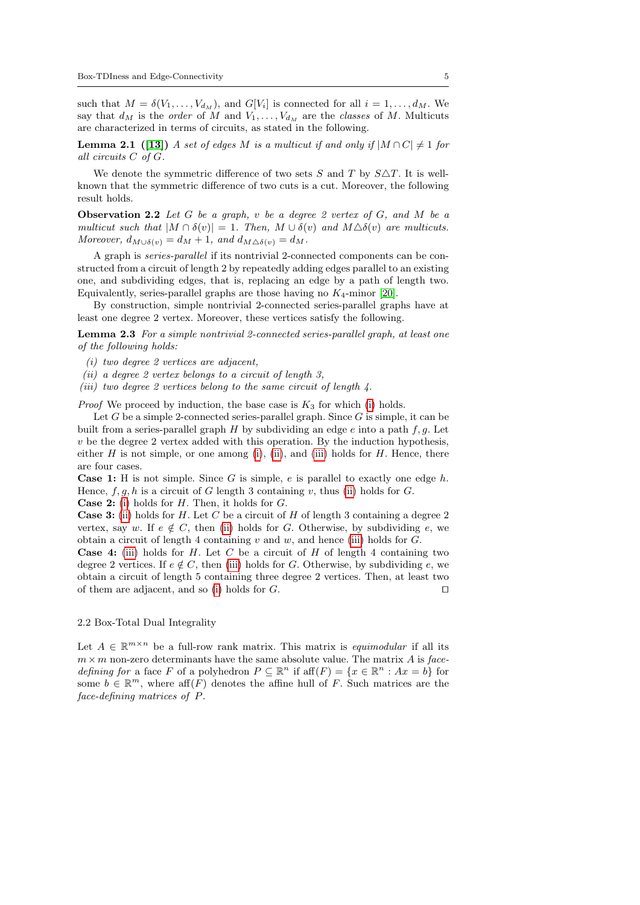<span id="page-4-6"></span>such that  $M = \delta(V_1, \ldots, V_{d_M})$ , and  $G[V_i]$  is connected for all  $i = 1, \ldots, d_M$ . We say that  $d_M$  is the *order* of M and  $V_1, \ldots, V_{d_M}$  are the *classes* of M. Multicuts are characterized in terms of circuits, as stated in the following.

**Lemma 2.1** ([\[13\]](#page-27-21)) A set of edges M is a multicut if and only if  $|M \cap C| \neq 1$  for all circuits C of G.

<span id="page-4-5"></span>We denote the symmetric difference of two sets S and T by  $S\triangle T$ . It is wellknown that the symmetric difference of two cuts is a cut. Moreover, the following result holds.

**Observation 2.2** Let G be a graph, v be a degree 2 vertex of G, and M be a multicut such that  $|M \cap \delta(v)| = 1$ . Then,  $M \cup \delta(v)$  and  $M \Delta \delta(v)$  are multicuts. Moreover,  $d_{M\cup\delta(v)} = d_M + 1$ , and  $d_{M\triangle\delta(v)} = d_M$ .

A graph is series-parallel if its nontrivial 2-connected components can be constructed from a circuit of length 2 by repeatedly adding edges parallel to an existing one, and subdividing edges, that is, replacing an edge by a path of length two. Equivalently, series-parallel graphs are those having no  $K_4$ -minor [\[20\]](#page-27-22).

By construction, simple nontrivial 2-connected series-parallel graphs have at least one degree 2 vertex. Moreover, these vertices satisfy the following.

Lemma 2.3 For a simple nontrivial 2-connected series-parallel graph, at least one of the following holds:

- <span id="page-4-1"></span><span id="page-4-0"></span>(i) two degree 2 vertices are adjacent,
- <span id="page-4-2"></span>(ii) a degree 2 vertex belongs to a circuit of length 3,

<span id="page-4-3"></span>(iii) two degree 2 vertices belong to the same circuit of length  $\lambda$ .

*Proof* We proceed by induction, the base case is  $K_3$  for which [\(i\)](#page-4-1) holds.

Let  $G$  be a simple 2-connected series-parallel graph. Since  $G$  is simple, it can be built from a series-parallel graph  $H$  by subdividing an edge  $e$  into a path  $f, g$ . Let  $v$  be the degree 2 vertex added with this operation. By the induction hypothesis, either H is not simple, or one among [\(i\)](#page-4-1), [\(ii\)](#page-4-2), and [\(iii\)](#page-4-3) holds for H. Hence, there are four cases.

**Case 1:** H is not simple. Since G is simple, e is parallel to exactly one edge  $h$ . Hence,  $f, g, h$  is a circuit of G length 3 containing v, thus [\(ii\)](#page-4-2) holds for G.

**Case 2:** [\(i\)](#page-4-1) holds for  $H$ . Then, it holds for  $G$ .

**Case 3:** [\(ii\)](#page-4-2) holds for H. Let C be a circuit of H of length 3 containing a degree 2 vertex, say w. If  $e \notin C$ , then [\(ii\)](#page-4-2) holds for G. Otherwise, by subdividing e, we obtain a circuit of length 4 containing  $v$  and  $w$ , and hence [\(iii\)](#page-4-3) holds for  $G$ .

**Case 4:** [\(iii\)](#page-4-3) holds for H. Let C be a circuit of H of length 4 containing two degree 2 vertices. If  $e \notin C$ , then [\(iii\)](#page-4-3) holds for G. Otherwise, by subdividing e, we obtain a circuit of length 5 containing three degree 2 vertices. Then, at least two of them are adjacent, and so [\(i\)](#page-4-1) holds for  $G$ .

## 2.2 Box-Total Dual Integrality

<span id="page-4-4"></span>Let  $A \in \mathbb{R}^{m \times n}$  be a full-row rank matrix. This matrix is *equimodular* if all its  $m \times m$  non-zero determinants have the same absolute value. The matrix A is facedefining for a face F of a polyhedron  $P \subseteq \mathbb{R}^n$  if  $\text{aff}(F) = \{x \in \mathbb{R}^n : Ax = b\}$  for some  $b \in \mathbb{R}^m$ , where aff $(F)$  denotes the affine hull of F. Such matrices are the face-defining matrices of P.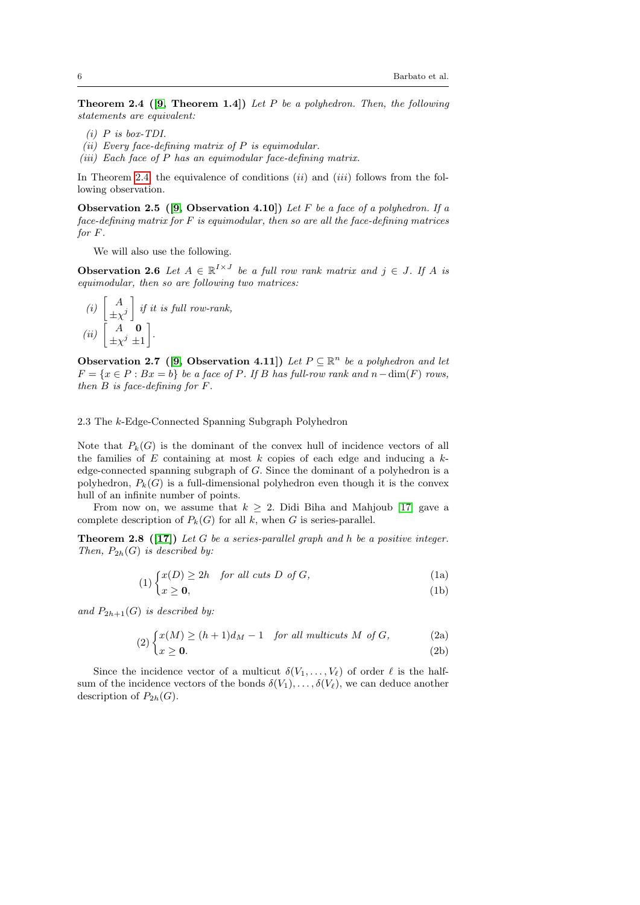**Theorem 2.4** ([\[9,](#page-26-11) Theorem 1.4]) Let P be a polyhedron. Then, the following statements are equivalent:

- (i)  $P$  is box-TDI.
- <span id="page-5-1"></span>(ii) Every face-defining matrix of  $P$  is equimodular.
- (iii) Each face of P has an equimodular face-defining matrix.

<span id="page-5-4"></span>In Theorem [2.4,](#page-4-4) the equivalence of conditions  $(ii)$  and  $(iii)$  follows from the following observation.

Observation 2.5 ([\[9,](#page-26-11) Observation 4.10]) Let F be a face of a polyhedron. If a  $face\text{-}defining\text{ matrix for } F \text{ is equivalent, then so are all the face\text{-}defining\text{ matrices}$ for F.

<span id="page-5-3"></span>We will also use the following.

**Observation 2.6** Let  $A \in \mathbb{R}^{I \times J}$  be a full row rank matrix and  $j \in J$ . If A is equimodular, then so are following two matrices:

(i) 
$$
\begin{bmatrix} A \\ \pm \chi^j \end{bmatrix}
$$
 if it is full row-rank,  
(ii)  $\begin{bmatrix} A & \mathbf{0} \\ \pm \chi^j \pm 1 \end{bmatrix}$ .

<span id="page-5-2"></span>Observation 2.7 ([\[9,](#page-26-11) Observation 4.11]) Let  $P \subseteq \mathbb{R}^n$  be a polyhedron and let  $F = \{x \in P : Bx = b\}$  be a face of P. If B has full-row rank and  $n - \dim(F)$  rows, then B is face-defining for F.

2.3 The k-Edge-Connected Spanning Subgraph Polyhedron

Note that  $P_k(G)$  is the dominant of the convex hull of incidence vectors of all the families of  $E$  containing at most  $k$  copies of each edge and inducing a  $k$ edge-connected spanning subgraph of G. Since the dominant of a polyhedron is a polyhedron,  $P_k(G)$  is a full-dimensional polyhedron even though it is the convex hull of an infinite number of points.

From now on, we assume that  $k \geq 2$ . Didi Biha and Mahjoub [\[17\]](#page-27-15) gave a complete description of  $P_k(G)$  for all k, when G is series-parallel.

**Theorem 2.8** ([\[17\]](#page-27-15)) Let G be a series-parallel graph and h be a positive integer. Then,  $P_{2h}(G)$  is described by:

> <span id="page-5-5"></span> $(1)$   $\left\{ \begin{array}{ll} x(D) \geq 2h & \text{for all cuts } D \text{ of } G, \end{array} \right\}$ (1a)

<span id="page-5-0"></span>
$$
(1b) \quad (11)
$$

and  $P_{2h+1}(G)$  is described by:

$$
(2) \int x(M) \ge (h+1)dM - 1 \quad for all multicuts M of G, \tag{2a}
$$

$$
\binom{2}{x} \cdot \binom{2}{x} = 0. \tag{2b}
$$

Since the incidence vector of a multicut  $\delta(V_1, \ldots, V_\ell)$  of order  $\ell$  is the halfsum of the incidence vectors of the bonds  $\delta(V_1), \ldots, \delta(V_\ell)$ , we can deduce another description of  $P_{2h}(G)$ .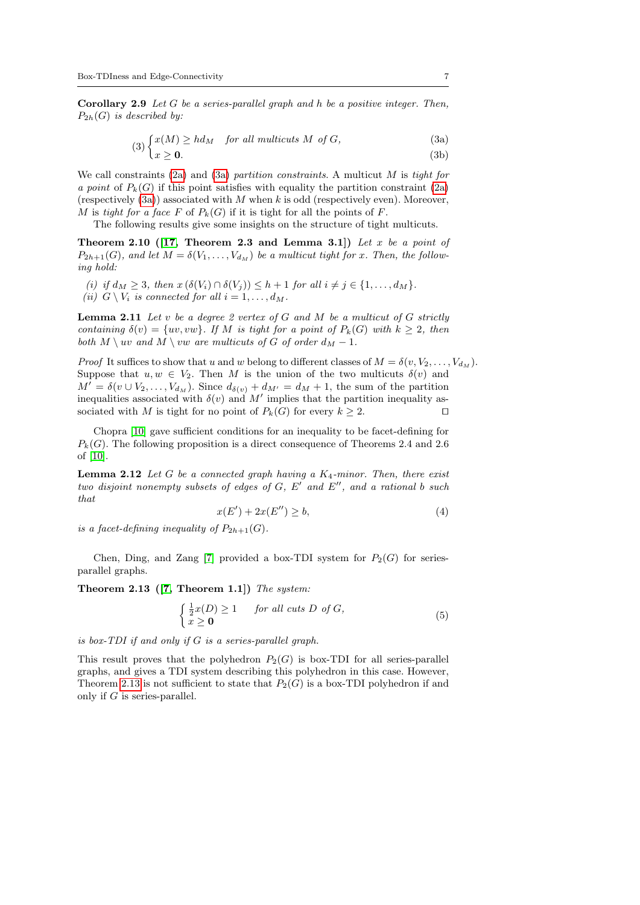Corollary 2.9 Let G be a series-parallel graph and h be a positive integer. Then,  $P_{2h}(G)$  is described by:

<span id="page-6-4"></span><span id="page-6-0"></span>
$$
(3)\begin{cases}x(M) \ge hd_M & \text{for all multicuts } M \text{ of } G, \\ x \ge 0. \end{cases} (3a)
$$

We call constraints  $(2a)$  and  $(3a)$  partition constraints. A multicut M is tight for a point of  $P_k(G)$  if this point satisfies with equality the partition constraint [\(2a\)](#page-5-0) (respectively  $(3a)$ ) associated with M when k is odd (respectively even). Moreover, M is tight for a face F of  $P_k(G)$  if it is tight for all the points of F.

The following results give some insights on the structure of tight multicuts.

Theorem 2.10 ([\[17,](#page-27-15) Theorem 2.3 and Lemma 3.1]) Let x be a point of  $P_{2h+1}(G)$ , and let  $M = \delta(V_1, \ldots, V_{d_M})$  be a multicut tight for x. Then, the following hold:

(i) if  $d_M \geq 3$ , then  $x(\delta(V_i) \cap \delta(V_j)) \leq h+1$  for all  $i \neq j \in \{1, \ldots, d_M\}.$ 

<span id="page-6-6"></span>(ii)  $G \setminus V_i$  is connected for all  $i = 1, \ldots, d_M$ .

<span id="page-6-5"></span>**Lemma 2.11** Let  $v$  be a degree 2 vertex of  $G$  and  $M$  be a multicut of  $G$  strictly containing  $\delta(v) = \{uv, vw\}$ . If M is tight for a point of  $P_k(G)$  with  $k \geq 2$ , then both  $M \setminus uv$  and  $M \setminus vw$  are multicuts of G of order  $d_M - 1$ .

*Proof* It suffices to show that u and w belong to different classes of  $M = \delta(v, V_2, \dots, V_{d_M})$ . Suppose that  $u, w \in V_2$ . Then M is the union of the two multicuts  $\delta(v)$  and  $M' = \delta(v \cup V_2, \ldots, V_{d_M})$ . Since  $d_{\delta(v)} + d_{M'} = d_M + 1$ , the sum of the partition inequalities associated with  $\delta(v)$  and M' implies that the partition inequality associated with M is tight for no point of  $P_k(G)$  for every  $k \geq 2$ .

<span id="page-6-2"></span>Chopra [\[10\]](#page-26-7) gave sufficient conditions for an inequality to be facet-defining for  $P_k(G)$ . The following proposition is a direct consequence of Theorems 2.4 and 2.6 of [\[10\]](#page-26-7).

**Lemma 2.12** Let G be a connected graph having a  $K_4$ -minor. Then, there exist two disjoint nonempty subsets of edges of  $G, E'$  and  $E''$ , and a rational b such that

<span id="page-6-3"></span>
$$
x(E') + 2x(E'') \ge b,\tag{4}
$$

is a facet-defining inequality of  $P_{2h+1}(G)$ .

Chen, Ding, and Zang [\[7\]](#page-26-3) provided a box-TDI system for  $P_2(G)$  for seriesparallel graphs.

Theorem 2.13  $([7, Theorem 1.1])$  $([7, Theorem 1.1])$  $([7, Theorem 1.1])$  The system:

<span id="page-6-1"></span>
$$
\begin{cases} \frac{1}{2}x(D) \ge 1 & \text{for all cuts } D \text{ of } G, \\ x \ge 0 & \end{cases}
$$
 (5)

is box-TDI if and only if G is a series-parallel graph.

This result proves that the polyhedron  $P_2(G)$  is box-TDI for all series-parallel graphs, and gives a TDI system describing this polyhedron in this case. However, Theorem [2.13](#page-6-1) is not sufficient to state that  $P_2(G)$  is a box-TDI polyhedron if and only if G is series-parallel.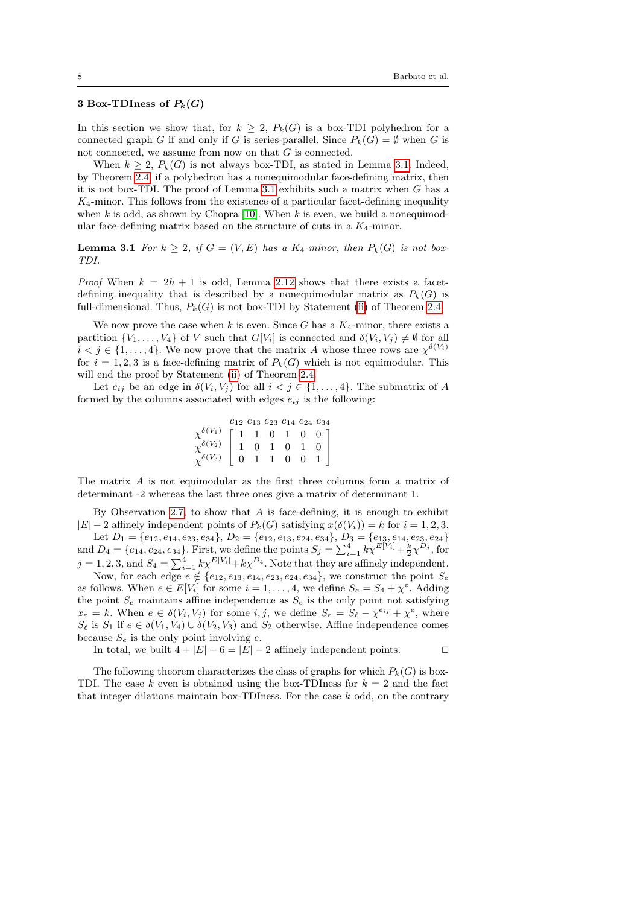## <span id="page-7-0"></span>3 Box-TDIness of  $P_k(G)$

In this section we show that, for  $k \geq 2$ ,  $P_k(G)$  is a box-TDI polyhedron for a connected graph G if and only if G is series-parallel. Since  $P_k(G) = \emptyset$  when G is not connected, we assume from now on that G is connected.

When  $k \geq 2$ ,  $P_k(G)$  is not always box-TDI, as stated in Lemma [3.1.](#page-7-1) Indeed, by Theorem [2.4,](#page-4-4) if a polyhedron has a nonequimodular face-defining matrix, then it is not box-TDI. The proof of Lemma [3.1](#page-7-1) exhibits such a matrix when  $G$  has a  $K_4$ -minor. This follows from the existence of a particular facet-defining inequality when k is odd, as shown by Chopra [\[10\]](#page-26-7). When k is even, we build a nonequimodular face-defining matrix based on the structure of cuts in a  $K_4$ -minor.

<span id="page-7-1"></span>**Lemma 3.1** For  $k \geq 2$ , if  $G = (V, E)$  has a  $K_4$ -minor, then  $P_k(G)$  is not box-TDI.

*Proof* When  $k = 2h + 1$  is odd, Lemma [2.12](#page-6-2) shows that there exists a facetdefining inequality that is described by a nonequimodular matrix as  $P_k(G)$  is full-dimensional. Thus,  $P_k(G)$  is not box-TDI by Statement [\(ii\)](#page-5-1) of Theorem [2.4.](#page-4-4)

We now prove the case when k is even. Since G has a  $K_4$ -minor, there exists a partition  $\{V_1, \ldots, V_4\}$  of V such that  $G[V_i]$  is connected and  $\delta(V_i, V_j) \neq \emptyset$  for all  $i < j \in \{1, \ldots, 4\}$ . We now prove that the matrix A whose three rows are  $\chi^{\delta(V_i)}$ for  $i = 1, 2, 3$  is a face-defining matrix of  $P_k(G)$  which is not equimodular. This will end the proof by Statement [\(ii\)](#page-5-1) of Theorem [2.4.](#page-4-4)

Let  $e_{ij}$  be an edge in  $\delta(V_i, V_j)$  for all  $i < j \in \{1, ..., 4\}$ . The submatrix of A formed by the columns associated with edges  $e_{ij}$  is the following:

|                                                                                                                                                                                                                        |  | $e_{12}e_{13}e_{23}e_{14}e_{24}e_{34}$ |  |
|------------------------------------------------------------------------------------------------------------------------------------------------------------------------------------------------------------------------|--|----------------------------------------|--|
|                                                                                                                                                                                                                        |  |                                        |  |
|                                                                                                                                                                                                                        |  |                                        |  |
| $\begin{array}{c} \chi^{\delta(V_1)} \\ \chi^{\delta(V_2)} \\ \chi^{\delta(V_3)} \left[\begin{array}{cccccccc} 1 & 1 & 0 & 1 & 0 & 0 \\ 1 & 0 & 1 & 0 & 1 & 0 \\ 0 & 1 & 1 & 0 & 0 & 1 \end{array}\right] \end{array}$ |  |                                        |  |

The matrix A is not equimodular as the first three columns form a matrix of determinant -2 whereas the last three ones give a matrix of determinant 1.

By Observation [2.7,](#page-5-2) to show that  $A$  is face-defining, it is enough to exhibit  $|E| - 2$  affinely independent points of  $P_k(G)$  satisfying  $x(\delta(V_i)) = k$  for  $i = 1, 2, 3$ . Let  $D_1 = \{e_{12}, e_{14}, e_{23}, e_{34}\}, D_2 = \{e_{12}, e_{13}, e_{24}, e_{34}\}, D_3 = \{e_{13}, e_{14}, e_{23}, e_{24}\}$ 

and  $D_4 = \{e_{14}, e_{24}, e_{34}\}\.$  First, we define the points  $S_j = \sum_{i=1}^4 k \chi^{E[V_i]} + \frac{k}{2} \chi^{D_j}$ , for  $j = 1, 2, 3$ , and  $S_4 = \sum_{i=1}^{4} k \chi^{E[V_i]} + k \chi^{D_4}$ . Note that they are affinely independent. Now, for each edge  $e \notin \{e_{12}, e_{13}, e_{14}, e_{23}, e_{24}, e_{34}\}$ , we construct the point  $S_e$ 

as follows. When  $e \in E[V_i]$  for some  $i = 1, ..., 4$ , we define  $S_e = S_4 + \chi^e$ . Adding the point  $S_e$  maintains affine independence as  $S_e$  is the only point not satisfying  $x_e = k$ . When  $e \in \delta(V_i, V_j)$  for some  $i, j$ , we define  $S_e = S_\ell - \chi^{e_{ij}} + \chi^e$ , where  $S_{\ell}$  is  $S_1$  if  $e \in \delta(V_1, V_4) \cup \delta(V_2, V_3)$  and  $S_2$  otherwise. Affine independence comes because  $S_e$  is the only point involving  $e$ .

In total, we built  $4 + |E| - 6 = |E| - 2$  affinely independent points. □

The following theorem characterizes the class of graphs for which  $P_k(G)$  is box-TDI. The case k even is obtained using the box-TDIness for  $k = 2$  and the fact that integer dilations maintain box-TDIness. For the case  $k$  odd, on the contrary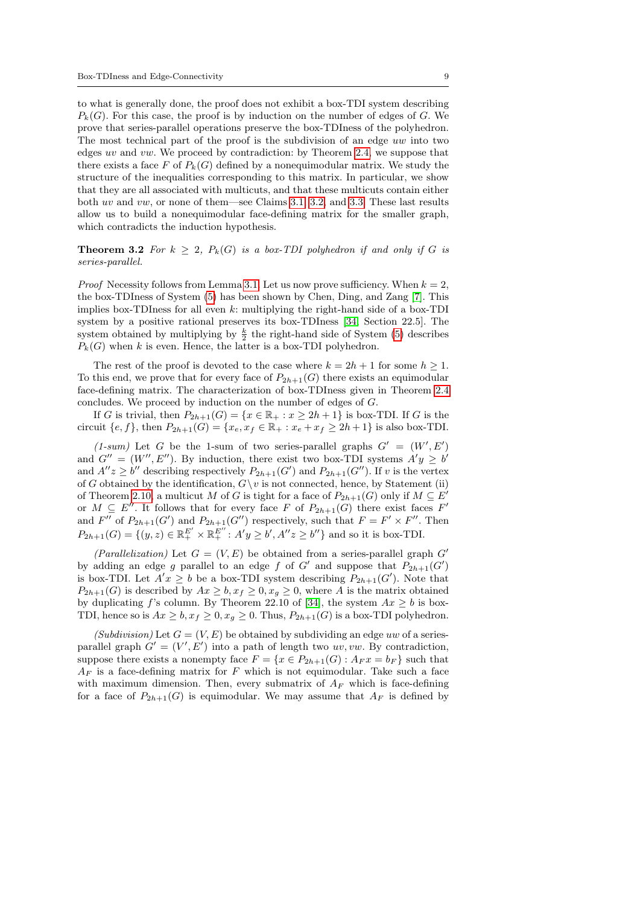to what is generally done, the proof does not exhibit a box-TDI system describing  $P_k(G)$ . For this case, the proof is by induction on the number of edges of G. We prove that series-parallel operations preserve the box-TDIness of the polyhedron. The most technical part of the proof is the subdivision of an edge uw into two edges uv and vw. We proceed by contradiction: by Theorem [2.4,](#page-4-4) we suppose that there exists a face F of  $P_k(G)$  defined by a nonequimodular matrix. We study the structure of the inequalities corresponding to this matrix. In particular, we show that they are all associated with multicuts, and that these multicuts contain either both uv and vw, or none of them—see Claims [3.1,](#page-9-0) [3.2,](#page-9-1) and [3.3.](#page-9-2) These last results allow us to build a nonequimodular face-defining matrix for the smaller graph, which contradicts the induction hypothesis.

<span id="page-8-0"></span>**Theorem 3.2** For  $k \geq 2$ ,  $P_k(G)$  is a box-TDI polyhedron if and only if G is series-parallel.

*Proof* Necessity follows from Lemma [3.1.](#page-7-1) Let us now prove sufficiency. When  $k = 2$ , the box-TDIness of System [\(5\)](#page-6-3) has been shown by Chen, Ding, and Zang [\[7\]](#page-26-3). This implies box-TDIness for all even  $k$ : multiplying the right-hand side of a box-TDI system by a positive rational preserves its box-TDIness [\[34,](#page-27-0) Section 22.5]. The system obtained by multiplying by  $\frac{k}{2}$  the right-hand side of System [\(5\)](#page-6-3) describes  $P_k(G)$  when k is even. Hence, the latter is a box-TDI polyhedron.

The rest of the proof is devoted to the case where  $k = 2h + 1$  for some  $h \ge 1$ . To this end, we prove that for every face of  $P_{2h+1}(G)$  there exists an equimodular face-defining matrix. The characterization of box-TDIness given in Theorem [2.4](#page-4-4) concludes. We proceed by induction on the number of edges of G.

If G is trivial, then  $P_{2h+1}(G) = \{x \in \mathbb{R}_+ : x \ge 2h+1\}$  is box-TDI. If G is the circuit  ${e, f}$ , then  $P_{2h+1}(G) = {x_e, x_f \in \mathbb{R}_+ : x_e + x_f \ge 2h + 1}$  is also box-TDI.

(1-sum) Let G be the 1-sum of two series-parallel graphs  $G' = (W', E')$ and  $G'' = (W'', E'')$ . By induction, there exist two box-TDI systems  $A'y \geq b'$ and  $A''z \geq b''$  describing respectively  $P_{2h+1}(G')$  and  $P_{2h+1}(G'')$ . If v is the vertex of G obtained by the identification,  $G \backslash v$  is not connected, hence, by Statement (ii) of Theorem [2.10,](#page-6-4) a multicut M of G is tight for a face of  $P_{2h+1}(G)$  only if  $M \subseteq E'$ or  $M \subseteq E''$ . It follows that for every face F of  $P_{2h+1}(G)$  there exist faces F' and  $F''$  of  $P_{2h+1}(G')$  and  $P_{2h+1}(G'')$  respectively, such that  $F = F' \times F''$ . Then  $P_{2h+1}(G) = \{(y, z) \in \mathbb{R}^{E'}_+ \times \mathbb{R}^{E''}_+ : A'y \ge b', A''z \ge b''\}$  and so it is box-TDI.

(Parallelization) Let  $G = (V, E)$  be obtained from a series-parallel graph  $G'$ by adding an edge g parallel to an edge f of G' and suppose that  $P_{2h+1}(G')$ is box-TDI. Let  $A'x \geq b$  be a box-TDI system describing  $P_{2h+1}(G')$ . Note that  $P_{2h+1}(G)$  is described by  $Ax \geq b, x_f \geq 0, x_g \geq 0$ , where A is the matrix obtained by duplicating f's column. By Theorem 22.10 of [\[34\]](#page-27-0), the system  $Ax \geq b$  is box-TDI, hence so is  $Ax \geq b$ ,  $x_f \geq 0$ ,  $x_g \geq 0$ . Thus,  $P_{2h+1}(G)$  is a box-TDI polyhedron.

(Subdivision) Let  $G = (V, E)$  be obtained by subdividing an edge uw of a seriesparallel graph  $G' = (V', E')$  into a path of length two uv, vw. By contradiction, suppose there exists a nonempty face  $F = \{x \in P_{2h+1}(G) : A_F x = b_F\}$  such that  $A_F$  is a face-defining matrix for F which is not equimodular. Take such a face with maximum dimension. Then, every submatrix of  $A_F$  which is face-defining for a face of  $P_{2h+1}(G)$  is equimodular. We may assume that  $A_F$  is defined by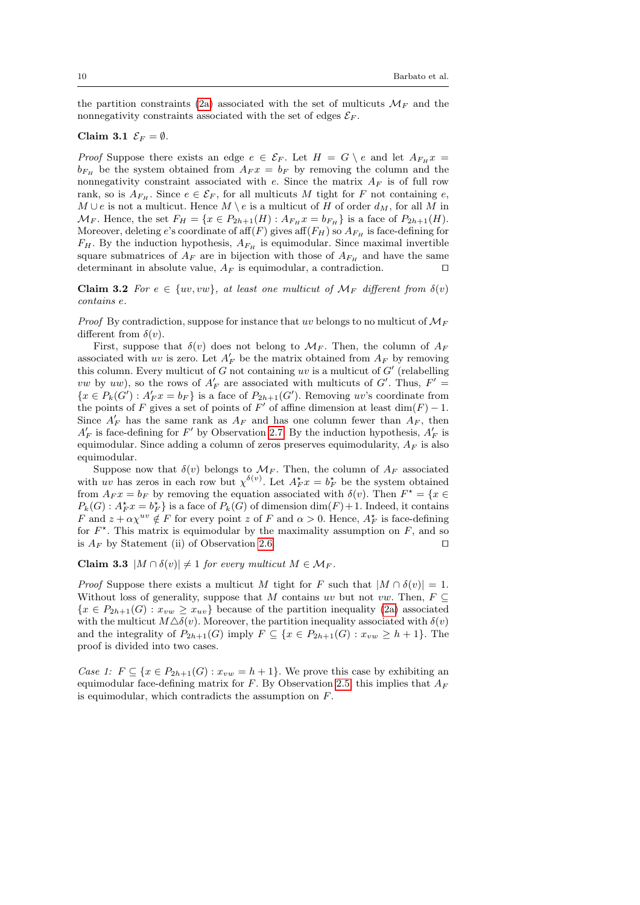the partition constraints [\(2a\)](#page-5-0) associated with the set of multicuts  $\mathcal{M}_F$  and the nonnegativity constraints associated with the set of edges  $\mathcal{E}_F$ .

#### <span id="page-9-0"></span>Claim 3.1  $\mathcal{E}_F = \emptyset$ .

*Proof* Suppose there exists an edge  $e \in \mathcal{E}_F$ . Let  $H = G \setminus e$  and let  $A_{F_H} x =$  $b_{F_H}$  be the system obtained from  $A_F x = b_F$  by removing the column and the nonnegativity constraint associated with  $e$ . Since the matrix  $A_F$  is of full row rank, so is  $A_{F_H}$ . Since  $e \in \mathcal{E}_F$ , for all multicuts M tight for F not containing e,  $M \cup e$  is not a multicut. Hence  $M \setminus e$  is a multicut of H of order  $d_M$ , for all M in  $\mathcal{M}_F$ . Hence, the set  $F_H = \{x \in P_{2h+1}(H) : A_{F_H} x = b_{F_H}\}\$ is a face of  $P_{2h+1}(H)$ . Moreover, deleting e's coordinate of aff $(F)$  gives aff $(F_H)$  so  $A_{F_H}$  is face-defining for  $F_H$ . By the induction hypothesis,  $A_{Fu}$  is equimodular. Since maximal invertible square submatrices of  $A_F$  are in bijection with those of  $A_{F_H}$  and have the same determinant in absolute value,  $A_F$  is equimodular, a contradiction.  $\square$ 

<span id="page-9-1"></span>Claim 3.2 For  $e \in \{uv, vw\}$ , at least one multicut of  $\mathcal{M}_F$  different from  $\delta(v)$ contains e.

*Proof* By contradiction, suppose for instance that uv belongs to no multicut of  $\mathcal{M}_F$ different from  $\delta(v)$ .

First, suppose that  $\delta(v)$  does not belong to  $\mathcal{M}_F$ . Then, the column of  $A_F$ associated with uv is zero. Let  $A'_F$  be the matrix obtained from  $A_F$  by removing this column. Every multicut of  $G$  not containing uv is a multicut of  $G'$  (relabelling *vw* by *uw*), so the rows of  $A'_F$  are associated with multicuts of G'. Thus,  $F' =$  $\{x \in P_k(G') : A'_F x = b_F\}$  is a face of  $P_{2h+1}(G')$ . Removing uv's coordinate from the points of F gives a set of points of F' of affine dimension at least  $\dim(F) - 1$ . Since  $A'_F$  has the same rank as  $A_F$  and has one column fewer than  $A_F$ , then  $A'_F$  is face-defining for F' by Observation [2.7.](#page-5-2) By the induction hypothesis,  $A'_F$  is equimodular. Since adding a column of zeros preserves equimodularity,  $A_F$  is also equimodular.

Suppose now that  $\delta(v)$  belongs to  $\mathcal{M}_F$ . Then, the column of  $A_F$  associated with uv has zeros in each row but  $\chi^{\delta(v)}$ . Let  $A_F^{\star} x = b_F^{\star}$  be the system obtained from  $A_F x = b_F$  by removing the equation associated with  $\delta(v)$ . Then  $F^* = \{x \in$  $P_k(G)$ :  $A_F^{\star} x = b_F^{\star}$  is a face of  $P_k(G)$  of dimension  $\dim(F) + 1$ . Indeed, it contains F and  $z + \alpha \chi^{uv} \notin F$  for every point z of F and  $\alpha > 0$ . Hence,  $A_F^*$  is face-defining for  $F^*$ . This matrix is equimodular by the maximality assumption on  $F$ , and so is  $A_F$  by Statement (ii) of Observation [2.6.](#page-5-3)

<span id="page-9-2"></span>Claim 3.3  $|M \cap \delta(v)| \neq 1$  for every multicut  $M \in \mathcal{M}_F$ .

*Proof* Suppose there exists a multicut M tight for F such that  $|M \cap \delta(v)| = 1$ . Without loss of generality, suppose that M contains uv but not vw. Then,  $F \subseteq$  ${x \in P_{2h+1}(G) : x_{vw} \geq x_{uv}}$  because of the partition inequality [\(2a\)](#page-5-0) associated with the multicut  $M\Delta\delta(v)$ . Moreover, the partition inequality associated with  $\delta(v)$ and the integrality of  $P_{2h+1}(G)$  imply  $F \subseteq \{x \in P_{2h+1}(G) : x_{vw} \ge h+1\}$ . The proof is divided into two cases.

Case 1:  $F \subseteq \{x \in P_{2h+1}(G) : x_{vw} = h+1\}$ . We prove this case by exhibiting an equimodular face-defining matrix for F. By Observation [2.5,](#page-5-4) this implies that  $A_F$ is equimodular, which contradicts the assumption on  $F$ .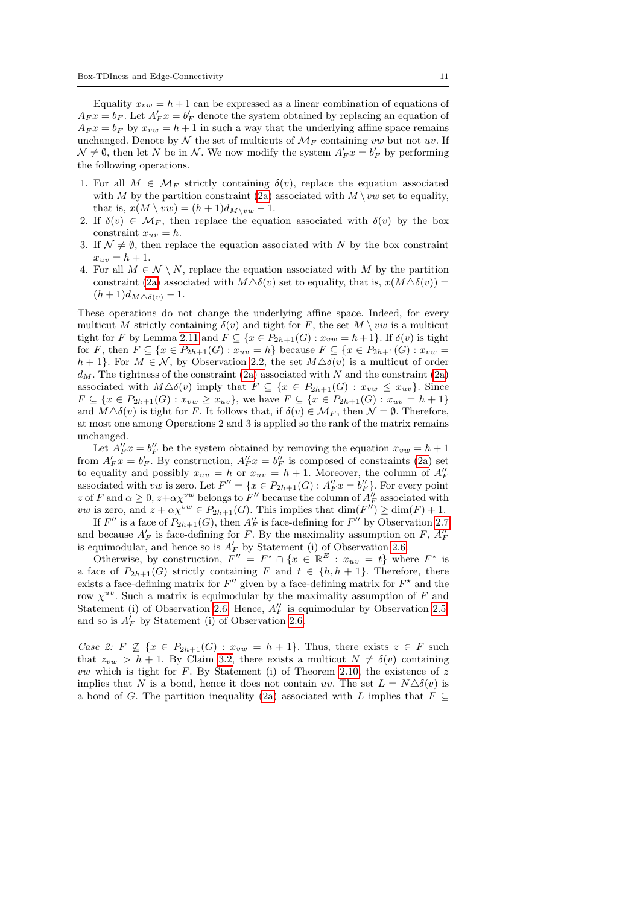Equality  $x_{vw} = h + 1$  can be expressed as a linear combination of equations of  $A_F x = b_F$ . Let  $A'_F x = b'_F$  denote the system obtained by replacing an equation of  $A_F x = b_F$  by  $x_{vw} = h + 1$  in such a way that the underlying affine space remains unchanged. Denote by  $\mathcal N$  the set of multicuts of  $\mathcal M_F$  containing vw but not wv. If  $\mathcal{N} \neq \emptyset$ , then let N be in N. We now modify the system  $A'_F x = b'_F$  by performing the following operations.

- 1. For all  $M \in \mathcal{M}_F$  strictly containing  $\delta(v)$ , replace the equation associated with M by the partition constraint [\(2a\)](#page-5-0) associated with  $M \setminus vw$  set to equality, that is,  $x(M \setminus vw) = (h+1)d_{M\setminus vw} - 1$ .
- 2. If  $\delta(v) \in \mathcal{M}_F$ , then replace the equation associated with  $\delta(v)$  by the box constraint  $x_{uv} = h$ .
- 3. If  $\mathcal{N} \neq \emptyset$ , then replace the equation associated with N by the box constraint  $x_{uv} = h + 1.$
- 4. For all  $M \in \mathcal{N} \setminus N$ , replace the equation associated with M by the partition constraint [\(2a\)](#page-5-0) associated with  $M\Delta\delta(v)$  set to equality, that is,  $x(M\Delta\delta(v)) =$  $(h+1)d_{M\Delta\delta(v)}-1.$

These operations do not change the underlying affine space. Indeed, for every multicut M strictly containing  $\delta(v)$  and tight for F, the set  $M \setminus vw$  is a multicut tight for F by Lemma [2.11](#page-6-5) and  $F \subseteq \{x \in P_{2h+1}(G) : x_{vw} = h+1\}$ . If  $\delta(v)$  is tight for F, then  $F \subseteq \{x \in P_{2h+1}(G) : x_{uv} = h\}$  because  $F \subseteq \{x \in P_{2h+1}(G) : x_{vw} = h\}$  $h + 1$ . For  $M \in \mathcal{N}$ , by Observation [2.2,](#page-4-5) the set  $M \Delta \delta(v)$  is a multicut of order  $d_M$ . The tightness of the constraint [\(2a\)](#page-5-0) associated with N and the constraint (2a) associated with  $M\Delta\delta(v)$  imply that  $F \subseteq \{x \in P_{2h+1}(G) : x_{vw} \leq x_{uv}\}.$  Since  $F \subseteq \{x \in P_{2h+1}(G) : x_{vw} \ge x_{uv}\},\$ we have  $F \subseteq \{x \in P_{2h+1}(G) : x_{uv} = h+1\}$ and  $M\Delta\delta(v)$  is tight for F. It follows that, if  $\delta(v) \in \mathcal{M}_F$ , then  $\mathcal{N} = \emptyset$ . Therefore, at most one among Operations 2 and 3 is applied so the rank of the matrix remains unchanged.

Let  $A''_F x = b''_F$  be the system obtained by removing the equation  $x_{vw} = h + 1$ from  $A'_F x = b'_F$ . By construction,  $A''_F x = b''_F$  is composed of constraints [\(2a\)](#page-5-0) set to equality and possibly  $x_{uv} = h$  or  $x_{uv} = h + 1$ . Moreover, the column of  $A''_F$  associated with vw is zero. Let  $F'' = \{x \in P_{2h+1}(G) : A''_F x = b''_F\}$ . For every point z of F and  $\alpha \geq 0$ ,  $z + \alpha \chi^{vw}$  belongs to  $F''$  because the column of  $A''_F$  associated with *vw* is zero, and  $z + \alpha \chi^{vw} \in P_{2h+1}(G)$ . This implies that  $\dim(F'') \ge \dim(F) + 1$ .

If  $F''$  is a face of  $P_{2h+1}(G)$ , then  $A''_F$  is face-defining for  $F''$  by Observation [2.7](#page-5-2) and because  $A'_F$  is face-defining for F. By the maximality assumption on F,  $A''_F$ is equimodular, and hence so is  $A'_F$  by Statement (i) of Observation [2.6.](#page-5-3)

Otherwise, by construction,  $F'' = F^* \cap \{x \in \mathbb{R}^E : x_{uv} = t\}$  where  $F^*$  is a face of  $P_{2h+1}(G)$  strictly containing F and  $t \in \{h, h+1\}$ . Therefore, there exists a face-defining matrix for  $F''$  given by a face-defining matrix for  $F^*$  and the row  $\chi^{uv}$ . Such a matrix is equimodular by the maximality assumption of F and Statement (i) of Observation [2.6.](#page-5-3) Hence,  $A''_F$  is equimodular by Observation [2.5,](#page-5-4) and so is  $A_F^i$  by Statement (i) of Observation [2.6.](#page-5-3)

Case 2: F  $\mathcal{L}$  { $x \in P_{2h+1}(G)$  :  $x_{vw} = h + 1$ }. Thus, there exists  $z \in F$  such that  $z_{vw} > h + 1$ . By Claim [3.2,](#page-9-1) there exists a multicut  $N \neq \delta(v)$  containing *vw* which is tight for  $F$ . By Statement (i) of Theorem [2.10,](#page-6-4) the existence of  $z$ implies that N is a bond, hence it does not contain uv. The set  $L = N \Delta \delta(v)$  is a bond of G. The partition inequality [\(2a\)](#page-5-0) associated with L implies that  $F \subseteq$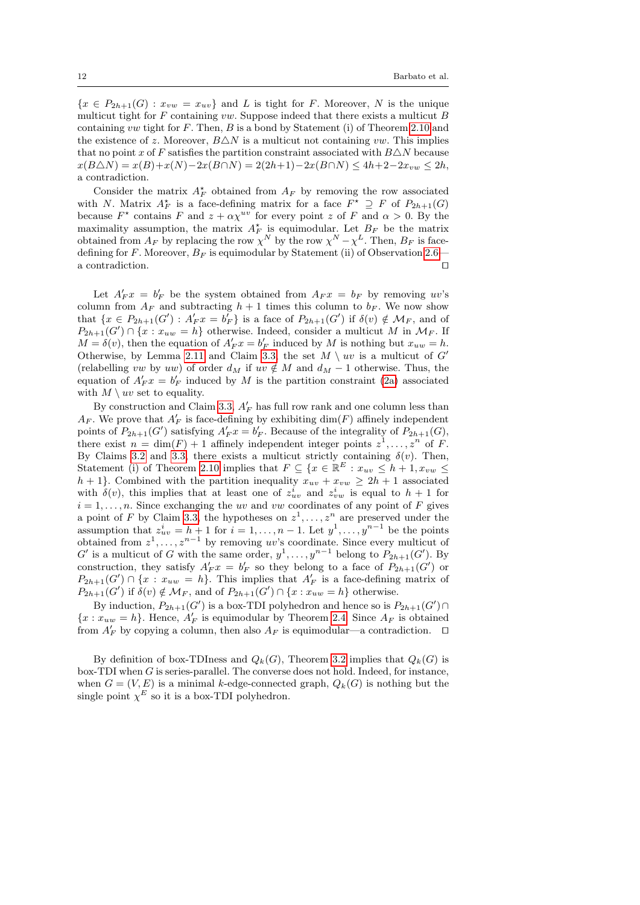${x \in P_{2h+1}(G) : x_{vw} = x_{uv}}$  and L is tight for F. Moreover, N is the unique multicut tight for  $F$  containing vw. Suppose indeed that there exists a multicut  $B$ containing vw tight for  $F$ . Then,  $B$  is a bond by Statement (i) of Theorem [2.10](#page-6-4) and the existence of z. Moreover,  $B\triangle N$  is a multicut not containing vw. This implies that no point x of F satisfies the partition constraint associated with  $B\Delta N$  because  $x(B\triangle N) = x(B)+x(N)-2x(B\cap N) = 2(2h+1)-2x(B\cap N) \le 4h+2-2x_{vw} \le 2h,$ a contradiction.

Consider the matrix  $A_F^*$  obtained from  $A_F$  by removing the row associated with N. Matrix  $A_F^*$  is a face-defining matrix for a face  $F^* \supseteq F$  of  $P_{2h+1}(G)$ because  $F^*$  contains F and  $z + \alpha \chi^{uv}$  for every point z of F and  $\alpha > 0$ . By the maximality assumption, the matrix  $A_F^*$  is equimodular. Let  $B_F$  be the matrix obtained from  $A_F$  by replacing the row  $\chi^N$  by the row  $\chi^N - \chi^L$ . Then,  $B_F$  is facedefining for F. Moreover,  $B_F$  is equimodular by Statement (ii) of Observation [2.6](#page-5-3) a contradiction.  $\hfill \Box$ 

Let  $A'_F x = b'_F$  be the system obtained from  $A_F x = b_F$  by removing uv's column from  $A_F$  and subtracting  $h + 1$  times this column to  $b_F$ . We now show that  $\{x \in P_{2h+1}(G') : A'_{F}x = b'_{F}\}$  is a face of  $P_{2h+1}(G')$  if  $\delta(v) \notin \mathcal{M}_{F}$ , and of  $P_{2h+1}(G') \cap \{x : x_{uw} = h\}$  otherwise. Indeed, consider a multicut M in  $\mathcal{M}_F$ . If  $M = \delta(v)$ , then the equation of  $A'_F x = b'_F$  induced by M is nothing but  $x_{uw} = h$ . Otherwise, by Lemma [2.11](#page-6-5) and Claim [3.3,](#page-9-2) the set  $M \setminus uv$  is a multicut of  $G'$ (relabelling vw by uw) of order  $d_M$  if uv  $\notin M$  and  $d_M - 1$  otherwise. Thus, the equation of  $A'_F x = b'_F$  induced by M is the partition constraint [\(2a\)](#page-5-0) associated with  $M \setminus uv$  set to equality.

By construction and Claim [3.3,](#page-9-2)  $A'_F$  has full row rank and one column less than  $A_F$ . We prove that  $A'_F$  is face-defining by exhibiting  $dim(F)$  affinely independent points of  $P_{2h+1}(G')$  satisfying  $A'_F x = b'_F$ . Because of the integrality of  $P_{2h+1}(G)$ , there exist  $n = \dim(F) + 1$  affinely independent integer points  $z^1, \ldots, z^n$  of F. By Claims [3.2](#page-9-1) and [3.3,](#page-9-2) there exists a multicut strictly containing  $\delta(v)$ . Then, Statement (i) of Theorem [2.10](#page-6-4) implies that  $F \subseteq \{x \in \mathbb{R}^E : x_{uv} \leq h+1, x_{vw} \leq$  $h + 1$ . Combined with the partition inequality  $x_{uv} + x_{vw} \ge 2h + 1$  associated with  $\delta(v)$ , this implies that at least one of  $z_{uv}^i$  and  $z_{vw}^i$  is equal to  $h+1$  for  $i = 1, \ldots, n$ . Since exchanging the uv and vw coordinates of any point of F gives a point of F by Claim [3.3,](#page-9-2) the hypotheses on  $z^1, \ldots, z^n$  are preserved under the assumption that  $z_{uv}^i = h + 1$  for  $i = 1, ..., n - 1$ . Let  $y^1, ..., y^{n-1}$  be the points obtained from  $z^1, \ldots, z^{n-1}$  by removing uv's coordinate. Since every multicut of  $G'$  is a multicut of G with the same order,  $y^1, \ldots, y^{n-1}$  belong to  $P_{2h+1}(G')$ . By construction, they satisfy  $A'_F x = b'_F$  so they belong to a face of  $P_{2h+1}(G')$  or  $P_{2h+1}(G') \cap \{x : x_{uw} = h\}.$  This implies that  $A'_F$  is a face-defining matrix of  $P_{2h+1}(G')$  if  $\delta(v) \notin \mathcal{M}_F$ , and of  $P_{2h+1}(G') \cap \{x : x_{uw} = h\}$  otherwise.

By induction,  $P_{2h+1}(G')$  is a box-TDI polyhedron and hence so is  $P_{2h+1}(G') \cap$  ${x : x<sub>uw</sub> = h}$ . Hence,  $A'_{F}$  is equimodular by Theorem [2.4.](#page-4-4) Since  $A_{F}$  is obtained from  $A'_F$  by copying a column, then also  $A_F$  is equimodular—a contradiction.  $\Box$ 

By definition of box-TDIness and  $Q_k(G)$ , Theorem [3.2](#page-8-0) implies that  $Q_k(G)$  is  $b$ ox-TDI when  $G$  is series-parallel. The converse does not hold. Indeed, for instance, when  $G = (V, E)$  is a minimal k-edge-connected graph,  $Q_k(G)$  is nothing but the single point  $\chi^E$  so it is a box-TDI polyhedron.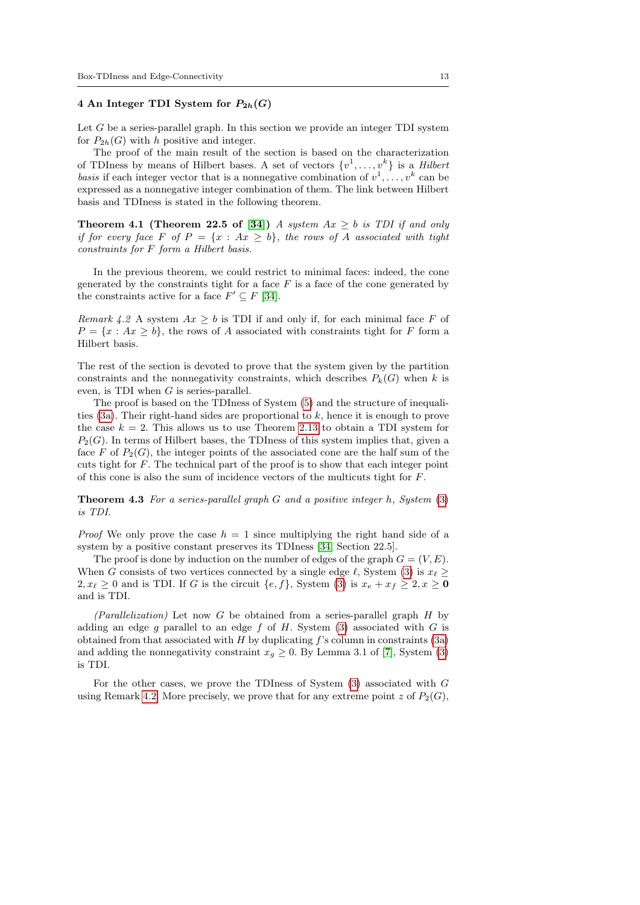## <span id="page-12-0"></span>4 An Integer TDI System for  $P_{2h}(G)$

Let  $G$  be a series-parallel graph. In this section we provide an integer TDI system for  $P_{2h}(G)$  with h positive and integer.

The proof of the main result of the section is based on the characterization of TDIness by means of Hilbert bases. A set of vectors  $\{v^1, \ldots, v^k\}$  is a Hilbert basis if each integer vector that is a nonnegative combination of  $v^1, \ldots, v^k$  can be expressed as a nonnegative integer combination of them. The link between Hilbert basis and TDIness is stated in the following theorem.

<span id="page-12-2"></span>**Theorem 4.1 (Theorem 22.5 of [\[34\]](#page-27-0))** A system  $Ax \geq b$  is TDI if and only if for every face F of  $P = \{x : Ax \geq b\}$ , the rows of A associated with tight constraints for F form a Hilbert basis.

In the previous theorem, we could restrict to minimal faces: indeed, the cone generated by the constraints tight for a face  $F$  is a face of the cone generated by the constraints active for a face  $F' \subseteq F$  [\[34\]](#page-27-0).

<span id="page-12-1"></span>Remark 4.2 A system  $Ax \geq b$  is TDI if and only if, for each minimal face F of  $P = \{x : Ax \geq b\}$ , the rows of A associated with constraints tight for F form a Hilbert basis.

The rest of the section is devoted to prove that the system given by the partition constraints and the nonnegativity constraints, which describes  $P_k(G)$  when k is even, is TDI when  $G$  is series-parallel.

The proof is based on the TDIness of System [\(5\)](#page-6-3) and the structure of inequalities  $(3a)$ . Their right-hand sides are proportional to  $k$ , hence it is enough to prove the case  $k = 2$ . This allows us to use Theorem [2.13](#page-6-1) to obtain a TDI system for  $P_2(G)$ . In terms of Hilbert bases, the TDIness of this system implies that, given a face F of  $P_2(G)$ , the integer points of the associated cone are the half sum of the cuts tight for F. The technical part of the proof is to show that each integer point of this cone is also the sum of incidence vectors of the multicuts tight for F.

<span id="page-12-3"></span>**Theorem 4.3** For a series-parallel graph  $G$  and a positive integer  $h$ , System  $(3)$ is TDI.

*Proof* We only prove the case  $h = 1$  since multiplying the right hand side of a system by a positive constant preserves its TDIness [\[34,](#page-27-0) Section 22.5].

The proof is done by induction on the number of edges of the graph  $G = (V, E)$ . When G consists of two vertices connected by a single edge  $\ell$ , System [\(3\)](#page-6-0) is  $x_{\ell} \ge$  $2, x_{\ell} \geq 0$  and is TDI. If G is the circuit  ${e, f}$ , System [\(3\)](#page-6-0) is  $x_e + x_f \geq 2, x \geq 0$ and is TDI.

 $(Parallelization)$  Let now G be obtained from a series-parallel graph H by adding an edge g parallel to an edge f of H. System  $(3)$  associated with G is obtained from that associated with  $H$  by duplicating  $f$ 's column in constraints  $(3a)$ and adding the nonnegativity constraint  $x_q \geq 0$ . By Lemma 3.1 of [\[7\]](#page-26-3), System [\(3\)](#page-6-0) is TDI.

For the other cases, we prove the TDIness of System [\(3\)](#page-6-0) associated with G using Remark [4.2.](#page-12-1) More precisely, we prove that for any extreme point z of  $P_2(G)$ ,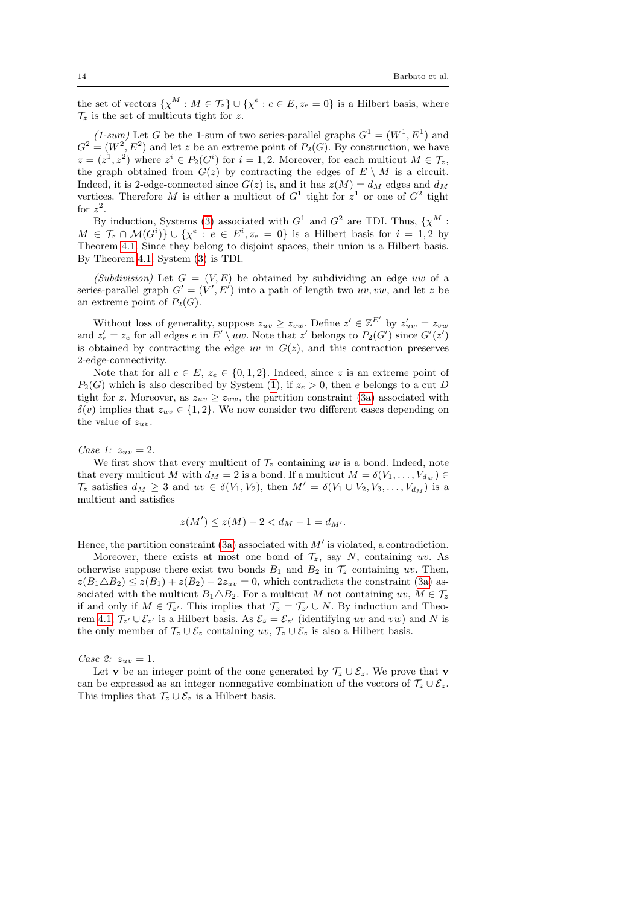the set of vectors  $\{\chi^M : M \in \mathcal{T}_z\} \cup \{\chi^e : e \in E, z_e = 0\}$  is a Hilbert basis, where  $\mathcal{T}_z$  is the set of multicuts tight for z.

(1-sum) Let G be the 1-sum of two series-parallel graphs  $G^1 = (W^1, E^1)$  and  $G^2 = (W^2, E^2)$  and let z be an extreme point of  $P_2(G)$ . By construction, we have  $z = (z^1, z^2)$  where  $z^i \in P_2(G^i)$  for  $i = 1, 2$ . Moreover, for each multicut  $M \in \mathcal{T}_z$ , the graph obtained from  $G(z)$  by contracting the edges of  $E \setminus M$  is a circuit. Indeed, it is 2-edge-connected since  $G(z)$  is, and it has  $z(M) = d_M$  edges and  $d_M$ vertices. Therefore M is either a multicut of  $G^1$  tight for  $z^1$  or one of  $G^2$  tight for  $z^2$ .

By induction, Systems [\(3\)](#page-6-0) associated with  $G<sup>1</sup>$  and  $G<sup>2</sup>$  are TDI. Thus,  $\{\chi^M:$  $M \in \mathcal{T}_z \cap \mathcal{M}(G^i) \} \cup \{ \chi^e : e \in E^i, z_e = 0 \}$  is a Hilbert basis for  $i = 1, 2$  by Theorem [4.1.](#page-12-2) Since they belong to disjoint spaces, their union is a Hilbert basis. By Theorem [4.1,](#page-12-2) System [\(3\)](#page-6-0) is TDI.

(Subdivision) Let  $G = (V, E)$  be obtained by subdividing an edge uw of a series-parallel graph  $G' = (V', E')$  into a path of length two uv, vw, and let z be an extreme point of  $P_2(G)$ .

Without loss of generality, suppose  $z_{uv} \geq z_{vw}$ . Define  $z' \in \mathbb{Z}^{E'}$  by  $z'_{uw} = z_{vw}$ and  $z'_e = z_e$  for all edges e in  $E' \setminus uw$ . Note that  $z'$  belongs to  $P_2(G')$  since  $G'(z')$ is obtained by contracting the edge uv in  $G(z)$ , and this contraction preserves 2-edge-connectivity.

Note that for all  $e \in E$ ,  $z_e \in \{0, 1, 2\}$ . Indeed, since z is an extreme point of  $P_2(G)$  which is also described by System [\(1\)](#page-5-5), if  $z_e > 0$ , then e belongs to a cut D tight for z. Moreover, as  $z_{uv} \geq z_{vw}$ , the partition constraint [\(3a\)](#page-6-0) associated with  $\delta(v)$  implies that  $z_{uv} \in \{1,2\}$ . We now consider two different cases depending on the value of  $z_{uv}$ .

Case 1:  $z_{uv} = 2$ .

We first show that every multicut of  $\mathcal{T}_z$  containing uv is a bond. Indeed, note that every multicut M with  $d_M = 2$  is a bond. If a multicut  $M = \delta(V_1, \ldots, V_{d_M}) \in$  $\mathcal{T}_z$  satisfies  $d_M \geq 3$  and  $uv \in \delta(V_1, V_2)$ , then  $M' = \delta(V_1 \cup V_2, V_3, \ldots, V_{d_M})$  is a multicut and satisfies

$$
z(M') \le z(M) - 2 < d_M - 1 = d_{M'}.
$$

Hence, the partition constraint [\(3a\)](#page-6-0) associated with  $M'$  is violated, a contradiction.

Moreover, there exists at most one bond of  $\mathcal{T}_z$ , say N, containing uv. As otherwise suppose there exist two bonds  $B_1$  and  $B_2$  in  $\mathcal{T}_z$  containing uv. Then,  $z(B_1 \triangle B_2) \leq z(B_1) + z(B_2) - 2z_{uv} = 0$ , which contradicts the constraint [\(3a\)](#page-6-0) associated with the multicut  $B_1 \triangle B_2$ . For a multicut M not containing uv,  $M \in \mathcal{T}_z$ if and only if  $M \in \mathcal{T}_{z'}$ . This implies that  $\mathcal{T}_z = \mathcal{T}_{z'} \cup N$ . By induction and Theo-rem [4.1,](#page-12-2)  $\mathcal{T}_{z'} \cup \mathcal{E}_{z'}$  is a Hilbert basis. As  $\mathcal{E}_z = \mathcal{E}_{z'}$  (identifying uv and vw) and N is the only member of  $\mathcal{T}_z \cup \mathcal{E}_z$  containing  $uv, \mathcal{T}_z \cup \mathcal{E}_z$  is also a Hilbert basis.

Case 2:  $z_{uv} = 1$ .

Let **v** be an integer point of the cone generated by  $\mathcal{T}_z \cup \mathcal{E}_z$ . We prove that **v** can be expressed as an integer nonnegative combination of the vectors of  $\mathcal{T}_z \cup \mathcal{E}_z$ . This implies that  $\mathcal{T}_z \cup \mathcal{E}_z$  is a Hilbert basis.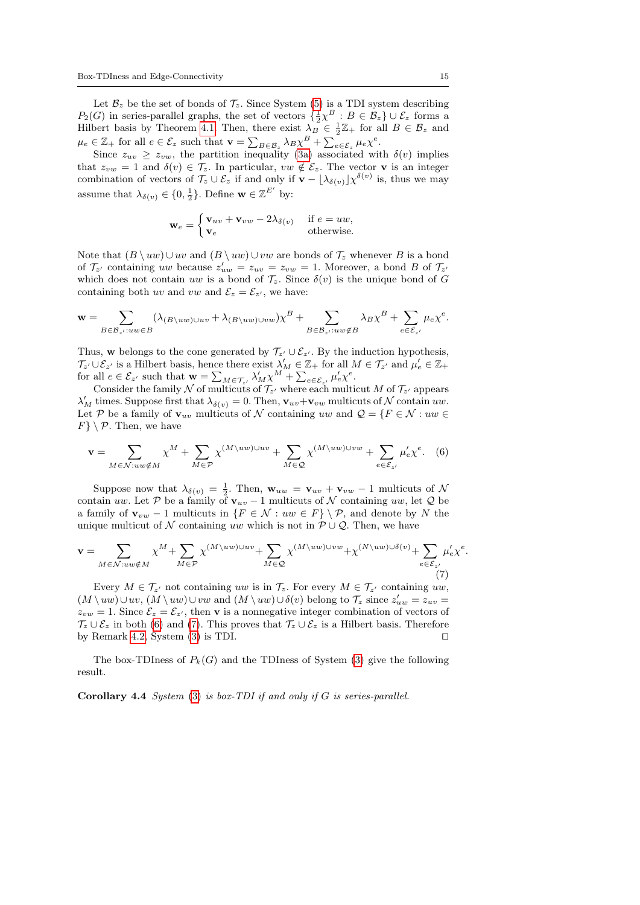Let  $\mathcal{B}_z$  be the set of bonds of  $\mathcal{T}_z$ . Since System [\(5\)](#page-6-3) is a TDI system describing  $P_2(G)$  in series-parallel graphs, the set of vectors  $\{\frac{1}{2}\chi^B : B \in \mathcal{B}_z\} \cup \mathcal{E}_z$  forms a Hilbert basis by Theorem [4.1.](#page-12-2) Then, there exist  $\lambda_B \in \frac{1}{2}\mathbb{Z}_+$  for all  $B \in \mathcal{B}_z$  and  $\mu_e \in \mathbb{Z}_+$  for all  $e \in \mathcal{E}_z$  such that  $\mathbf{v} = \sum_{B \in \mathcal{B}_z} \lambda_B \chi^B + \sum_{e \in \mathcal{E}_z} \mu_e \chi^e$ .

Since  $z_{uv} \geq z_{vw}$ , the partition inequality [\(3a\)](#page-6-0) associated with  $\delta(v)$  implies that  $z_{vw} = 1$  and  $\delta(v) \in \mathcal{T}_z$ . In particular,  $vw \notin \mathcal{E}_z$ . The vector **v** is an integer combination of vectors of  $\mathcal{T}_z \cup \mathcal{E}_z$  if and only if  $\mathbf{v} - \lfloor \lambda_{\delta(v)} \rfloor \chi^{\delta(v)}$  is, thus we may assume that  $\lambda_{\delta(v)} \in \{0, \frac{1}{2}\}.$  Define  $\mathbf{w} \in \mathbb{Z}^{E'}$  by:

$$
\mathbf{w}_e = \begin{cases} \mathbf{v}_{uv} + \mathbf{v}_{vw} - 2\lambda_{\delta(v)} & \text{if } e = uw, \\ \mathbf{v}_e & \text{otherwise.} \end{cases}
$$

Note that  $(B \ u w) \cup w$  and  $(B \ u w) \cup v w$  are bonds of  $\mathcal{T}_z$  whenever B is a bond of  $\mathcal{T}_{z'}$  containing uw because  $z'_{uw} = z_{uv} = z_{vw} = 1$ . Moreover, a bond B of  $\mathcal{T}_{z'}$ which does not contain uw is a bond of  $\mathcal{T}_z$ . Since  $\delta(v)$  is the unique bond of G containing both uv and vw and  $\mathcal{E}_z = \mathcal{E}_{z'}$ , we have:

$$
\mathbf{w} = \sum_{B \in \mathcal{B}_{z'}: uw \in B} (\lambda_{(B \setminus uw) \cup uv} + \lambda_{(B \setminus uw) \cup vw}) \chi^B + \sum_{B \in \mathcal{B}_{z'}: uw \notin B} \lambda_B \chi^B + \sum_{e \in \mathcal{E}_{z'}} \mu_e \chi^e.
$$

Thus, w belongs to the cone generated by  $\mathcal{T}_{z} \cup \mathcal{E}_{z}$ . By the induction hypothesis,  $\mathcal{T}_{z'}\cup\mathcal{E}_{z'}$  is a Hilbert basis, hence there exist  $\lambda'_M\in\mathbb{Z}_+$  for all  $M\in\mathcal{T}_{z'}$  and  $\mu'_e\in\mathbb{Z}_+$ for all  $e \in \mathcal{E}_{z'}$  such that  $\mathbf{w} = \sum_{M \in \mathcal{T}_{z'}} \lambda'_M \chi^M + \sum_{e \in \mathcal{E}_{z'}} \mu'_e \chi^e$ .

Consider the family N of multicuts of  $\mathcal{T}_{z}$  where each multicut M of  $\mathcal{T}_{z}$  appears  $\lambda'_M$  times. Suppose first that  $\lambda_{\delta(v)} = 0$ . Then,  $\mathbf{v}_{uv} + \mathbf{v}_{vw}$  multicuts of N contain uw. Let P be a family of  $\mathbf{v}_{uv}$  multicuts of N containing uw and  $\mathcal{Q} = \{F \in \mathcal{N} : uw \in$  $F$   $\setminus$  P. Then, we have

<span id="page-14-1"></span><span id="page-14-0"></span>
$$
\mathbf{v} = \sum_{M \in \mathcal{N}: uw \notin M} \chi^M + \sum_{M \in \mathcal{P}} \chi^{(M \setminus uw) \cup uv} + \sum_{M \in \mathcal{Q}} \chi^{(M \setminus uw) \cup vw} + \sum_{e \in \mathcal{E}_{z'}} \mu'_e \chi^e. \tag{6}
$$

Suppose now that  $\lambda_{\delta(v)} = \frac{1}{2}$ . Then,  $\mathbf{w}_{uw} = \mathbf{v}_{uv} + \mathbf{v}_{vw} - 1$  multicuts of  $\mathcal{N}$ contain uw. Let P be a family of  $v_{uv} - 1$  multicuts of N containing uw, let Q be a family of  $\mathbf{v}_{vw}$  − 1 multicuts in  $\{F \in \mathcal{N} : uw \in F\} \setminus \mathcal{P}$ , and denote by N the unique multicut of N containing uw which is not in  $\mathcal{P} \cup \mathcal{Q}$ . Then, we have

$$
\mathbf{v} = \sum_{M \in \mathcal{N}: uw \notin M} \chi^M + \sum_{M \in \mathcal{P}} \chi^{(M \setminus uw) \cup uv} + \sum_{M \in \mathcal{Q}} \chi^{(M \setminus uw) \cup vw} + \chi^{(N \setminus uw) \cup \delta(v)} + \sum_{e \in \mathcal{E}_{z'}} \mu'_e \chi^e.
$$
 (7)

Every  $M \in \mathcal{T}_{z'}$  not containing uw is in  $\mathcal{T}_{z}$ . For every  $M \in \mathcal{T}_{z'}$  containing uw,  $(M \setminus uw) \cup uv, (M \setminus uw) \cup vw$  and  $(M \setminus uw) \cup \delta(v)$  belong to  $\mathcal{T}_z$  since  $z'_{uw} = z_{uv}$  $z_{vw} = 1$ . Since  $\mathcal{E}_z = \mathcal{E}_{z'}$ , then **v** is a nonnegative integer combination of vectors of  $\mathcal{T}_z \cup \mathcal{E}_z$  in both [\(6\)](#page-14-0) and [\(7\)](#page-14-1). This proves that  $\mathcal{T}_z \cup \mathcal{E}_z$  is a Hilbert basis. Therefore by Remark [4.2,](#page-12-1) System [\(3\)](#page-6-0) is TDI.  $\square$ 

The box-TDIness of  $P_k(G)$  and the TDIness of System [\(3\)](#page-6-0) give the following result.

Corollary 4.4 System [\(3\)](#page-6-0) is box-TDI if and only if G is series-parallel.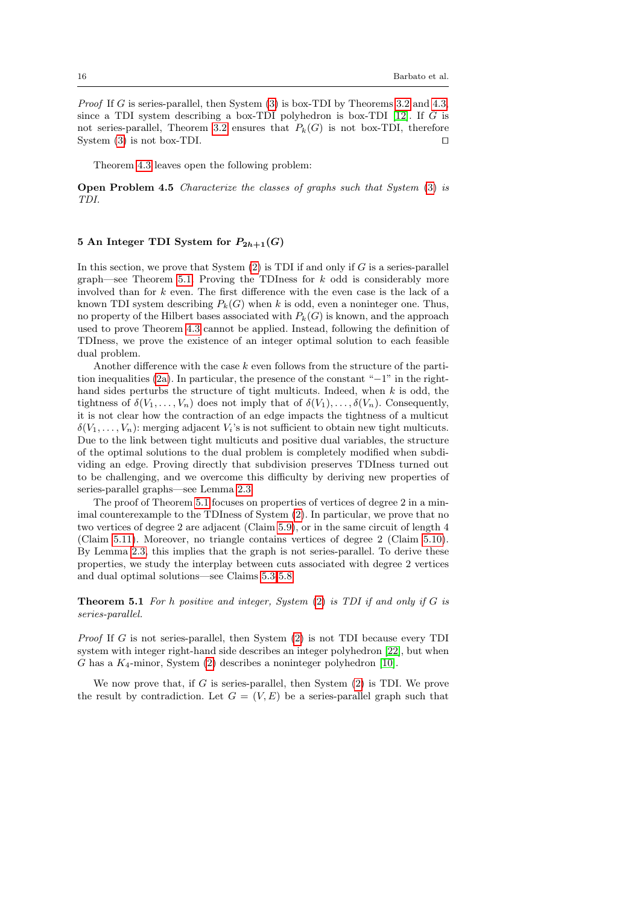Proof If G is series-parallel, then System [\(3\)](#page-6-0) is box-TDI by Theorems [3.2](#page-8-0) and [4.3,](#page-12-3) since a TDI system describing a box-TDI polyhedron is box-TDI  $[12]$ . If G is not series-parallel, Theorem [3.2](#page-8-0) ensures that  $P_k(G)$  is not box-TDI, therefore System [\(3\)](#page-6-0) is not box-TDI.  $\square$ 

Theorem [4.3](#page-12-3) leaves open the following problem:

Open Problem 4.5 Characterize the classes of graphs such that System [\(3\)](#page-6-0) is TDI.

## <span id="page-15-0"></span>5 An Integer TDI System for  $P_{2h+1}(G)$

In this section, we prove that System  $(2)$  is TDI if and only if G is a series-parallel graph—see Theorem [5.1.](#page-15-1) Proving the TDIness for  $k$  odd is considerably more involved than for k even. The first difference with the even case is the lack of a known TDI system describing  $P_k(G)$  when k is odd, even a noninteger one. Thus, no property of the Hilbert bases associated with  $P_k(G)$  is known, and the approach used to prove Theorem [4.3](#page-12-3) cannot be applied. Instead, following the definition of TDIness, we prove the existence of an integer optimal solution to each feasible dual problem.

Another difference with the case  $k$  even follows from the structure of the partition inequalities [\(2a\)](#page-5-0). In particular, the presence of the constant "−1" in the righthand sides perturbs the structure of tight multicuts. Indeed, when  $k$  is odd, the tightness of  $\delta(V_1,\ldots,V_n)$  does not imply that of  $\delta(V_1),\ldots,\delta(V_n)$ . Consequently, it is not clear how the contraction of an edge impacts the tightness of a multicut  $\delta(V_1,\ldots,V_n)$ : merging adjacent  $V_i$ 's is not sufficient to obtain new tight multicuts. Due to the link between tight multicuts and positive dual variables, the structure of the optimal solutions to the dual problem is completely modified when subdividing an edge. Proving directly that subdivision preserves TDIness turned out to be challenging, and we overcome this difficulty by deriving new properties of series-parallel graphs—see Lemma [2.3.](#page-4-0)

The proof of Theorem [5.1](#page-15-1) focuses on properties of vertices of degree 2 in a minimal counterexample to the TDIness of System [\(2\)](#page-5-0). In particular, we prove that no two vertices of degree 2 are adjacent (Claim [5.9\)](#page-21-0), or in the same circuit of length 4 (Claim [5.11\)](#page-24-0). Moreover, no triangle contains vertices of degree 2 (Claim [5.10\)](#page-23-0). By Lemma [2.3,](#page-4-0) this implies that the graph is not series-parallel. To derive these properties, we study the interplay between cuts associated with degree 2 vertices and dual optimal solutions—see Claims [5.3-](#page-17-0)[5.8.](#page-21-1)

<span id="page-15-1"></span>**Theorem 5.1** For h positive and integer, System  $(2)$  is TDI if and only if G is series-parallel.

Proof If G is not series-parallel, then System [\(2\)](#page-5-0) is not TDI because every TDI system with integer right-hand side describes an integer polyhedron [\[22\]](#page-27-23), but when G has a  $K_4$ -minor, System [\(2\)](#page-5-0) describes a noninteger polyhedron [\[10\]](#page-26-7).

We now prove that, if  $G$  is series-parallel, then System  $(2)$  is TDI. We prove the result by contradiction. Let  $G = (V, E)$  be a series-parallel graph such that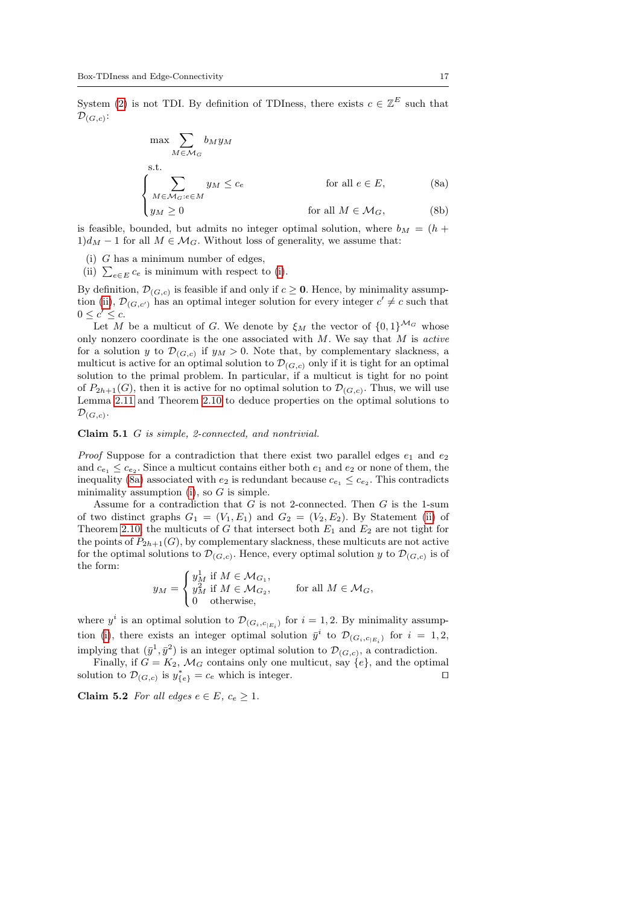System [\(2\)](#page-5-0) is not TDI. By definition of TDIness, there exists  $c \in \mathbb{Z}^E$  such that  $\mathcal{D}_{(G,c)}$ :

$$
\max \sum_{M \in \mathcal{M}_G} b_M y_M
$$
  
s.t.  

$$
\begin{cases}\n\sum_{M \in \mathcal{M}_G : e \in M} y_M \le c_e & \text{for all } e \in E, \\
y_M \ge 0 & \text{for all } M \in \mathcal{M}_G,\n\end{cases}
$$
(8a)

is feasible, bounded, but admits no integer optimal solution, where  $b_M = (h +$  $1)d<sub>M</sub> - 1$  for all  $M \in \mathcal{M}_G$ . Without loss of generality, we assume that:

<span id="page-16-0"></span>(i) G has a minimum number of edges,

<span id="page-16-1"></span>(ii)  $\sum_{e \in E} c_e$  is minimum with respect to [\(i\)](#page-16-0).

By definition,  $\mathcal{D}_{(G,c)}$  is feasible if and only if  $c \geq 0$ . Hence, by minimality assump-tion [\(ii\)](#page-16-1),  $\mathcal{D}_{(G,c')}$  has an optimal integer solution for every integer  $c' \neq c$  such that  $0 \leq c' \leq c$ .

Let M be a multicut of G. We denote by  $\xi_M$  the vector of  $\{0,1\}^{\mathcal{M}_G}$  whose only nonzero coordinate is the one associated with  $M$ . We say that  $M$  is active for a solution y to  $\mathcal{D}_{(G,c)}$  if  $y_M > 0$ . Note that, by complementary slackness, a multicut is active for an optimal solution to  $\mathcal{D}_{(G,c)}$  only if it is tight for an optimal solution to the primal problem. In particular, if a multicut is tight for no point of  $P_{2h+1}(G)$ , then it is active for no optimal solution to  $\mathcal{D}_{(G,c)}$ . Thus, we will use Lemma [2.11](#page-6-5) and Theorem [2.10](#page-6-4) to deduce properties on the optimal solutions to  $\mathcal{D}_{(G,c)}$ .

### <span id="page-16-2"></span>Claim 5.1 G is simple, 2-connected, and nontrivial.

*Proof* Suppose for a contradiction that there exist two parallel edges  $e_1$  and  $e_2$ and  $c_{e_1} \leq c_{e_2}$ . Since a multicut contains either both  $e_1$  and  $e_2$  or none of them, the inequality [\(8a\)](#page-15-1) associated with  $e_2$  is redundant because  $c_{e_1} \leq c_{e_2}$ . This contradicts minimality assumption [\(i\)](#page-16-0), so  $G$  is simple.

Assume for a contradiction that  $G$  is not 2-connected. Then  $G$  is the 1-sum of two distinct graphs  $G_1 = (V_1, E_1)$  and  $G_2 = (V_2, E_2)$ . By Statement [\(ii\)](#page-6-6) of Theorem [2.10,](#page-6-4) the multicuts of G that intersect both  $E_1$  and  $E_2$  are not tight for the points of  $P_{2h+1}(G)$ , by complementary slackness, these multicuts are not active for the optimal solutions to  $\mathcal{D}_{(G,c)}$ . Hence, every optimal solution y to  $\mathcal{D}_{(G,c)}$  is of the form:

$$
y_M = \begin{cases} y_M^1 \text{ if } M \in \mathcal{M}_{G_1}, \\ y_M^2 \text{ if } M \in \mathcal{M}_{G_2}, \\ 0 \text{ otherwise,} \end{cases} \text{ for all } M \in \mathcal{M}_G,
$$

where  $y^i$  is an optimal solution to  $\mathcal{D}_{(G_i, c_{|E_i})}$  for  $i = 1, 2$ . By minimality assump-tion [\(i\)](#page-16-0), there exists an integer optimal solution  $\bar{y}^i$  to  $\mathcal{D}_{(G_i, c_{|E_i})}$  for  $i = 1, 2$ , implying that  $(\bar{y}^1, \bar{y}^2)$  is an integer optimal solution to  $\mathcal{D}_{(G,c)}$ , a contradiction.

Finally, if  $G = K_2$ ,  $\mathcal{M}_G$  contains only one multicut, say  $\{e\}$ , and the optimal solution to  $\mathcal{D}_{(G,c)}$  is  $y_{\{e\}}^* = c_e$  which is integer.

<span id="page-16-3"></span>Claim 5.2 For all edges  $e \in E$ ,  $c_e \geq 1$ .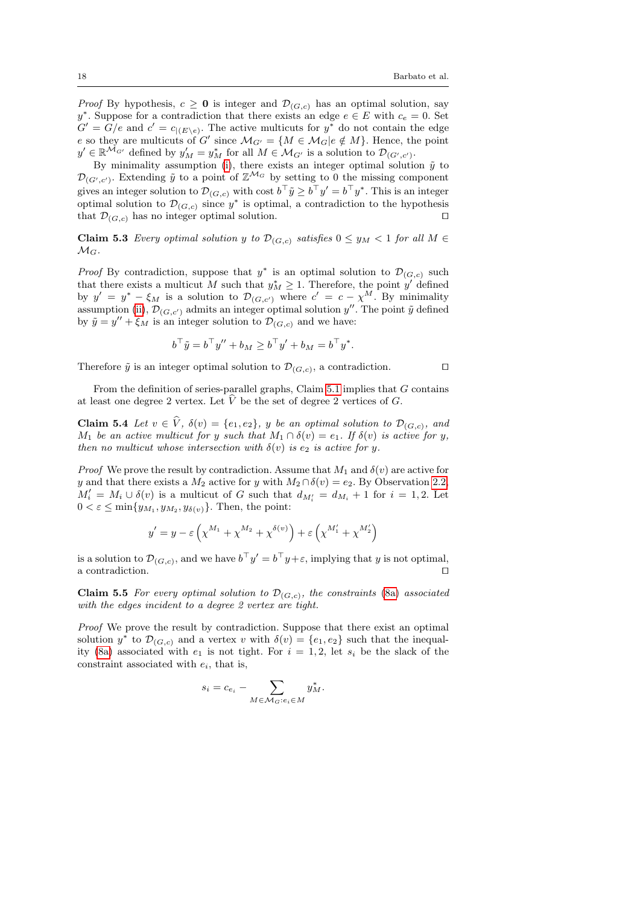*Proof* By hypothesis,  $c \geq 0$  is integer and  $\mathcal{D}_{(G,c)}$  has an optimal solution, say y<sup>\*</sup>. Suppose for a contradiction that there exists an edge  $e \in E$  with  $c_e = 0$ . Set  $G' = G/e$  and  $c' = c_{|(E \backslash e)}$ . The active multicuts for  $y^*$  do not contain the edge e so they are multicuts of G' since  $\mathcal{M}_{G'} = \{ M \in \mathcal{M}_G | e \notin M \}$ . Hence, the point  $y' \in \mathbb{R}^{\mathcal{M}_{G'}}$  defined by  $y'_{M} = y^{*}_{M}$  for all  $M \in \mathcal{M}_{G'}$  is a solution to  $\mathcal{D}_{(G',c')}$ .

By minimality assumption [\(i\)](#page-16-0), there exists an integer optimal solution  $\tilde{y}$  to  $\mathcal{D}_{(G',c')}$ . Extending  $\tilde{y}$  to a point of  $\mathbb{Z}^{\mathcal{M}_G}$  by setting to 0 the missing component gives an integer solution to  $\mathcal{D}_{(G,c)}$  with cost  $b^{\top} \tilde{y} \geq b^{\top} y' = b^{\top} y^*$ . This is an integer optimal solution to  $\mathcal{D}_{(G,c)}$  since  $y^*$  is optimal, a contradiction to the hypothesis that  $\mathcal{D}_{(G,c)}$  has no integer optimal solution.  $\square$ 

<span id="page-17-0"></span>**Claim 5.3** Every optimal solution y to  $\mathcal{D}_{(G,c)}$  satisfies  $0 \le y_M < 1$  for all  $M \in$  $\mathcal{M}_G$ .

*Proof* By contradiction, suppose that  $y^*$  is an optimal solution to  $\mathcal{D}_{(G,c)}$  such that there exists a multicut M such that  $y_M^* \geq 1$ . Therefore, the point y' defined by  $y' = y^* - \xi_M$  is a solution to  $\mathcal{D}_{(G,c')}$  where  $c' = c - \chi^M$ . By minimality assumption [\(ii\)](#page-16-1),  $\mathcal{D}_{(G,c')}$  admits an integer optimal solution  $y''$ . The point  $\tilde{y}$  defined by  $\tilde{y} = y'' + \xi_M$  is an integer solution to  $\mathcal{D}_{(G,c)}$  and we have:

$$
b^{\top} \tilde{y} = b^{\top} y'' + b_M \ge b^{\top} y' + b_M = b^{\top} y^*.
$$

Therefore  $\tilde{y}$  is an integer optimal solution to  $\mathcal{D}_{(G,c)}$ , a contradiction.

From the definition of series-parallel graphs, Claim [5.1](#page-16-2) implies that G contains at least one degree 2 vertex. Let  $\hat{V}$  be the set of degree 2 vertices of G.

<span id="page-17-2"></span>**Claim 5.4** Let  $v \in V$ ,  $\delta(v) = \{e_1, e_2\}$ , y be an optimal solution to  $\mathcal{D}_{(G,c)}$ , and M<sub>1</sub> be an active multicut for y such that  $M_1 \cap \delta(v) = e_1$ . If  $\delta(v)$  is active for y, then no multicut whose intersection with  $\delta(v)$  is e<sub>2</sub> is active for y.

*Proof* We prove the result by contradiction. Assume that  $M_1$  and  $\delta(v)$  are active for y and that there exists a  $M_2$  active for y with  $M_2 \cap \delta(v) = e_2$ . By Observation [2.2,](#page-4-5)  $M'_i = M_i \cup \delta(v)$  is a multicut of G such that  $d_{M'_i} = d_{M_i} + 1$  for  $i = 1, 2$ . Let  $0 < \varepsilon \le \min\{y_{M_1}, y_{M_2}, y_{\delta(v)}\}.$  Then, the point:

$$
y'=y-\varepsilon\left(\chi^{M_1}+\chi^{M_2}+\chi^{\delta(v)}\right)+\varepsilon\left(\chi^{M_1'}+\chi^{M_2'}\right)
$$

is a solution to  $\mathcal{D}_{(G,c)}$ , and we have  $b^{\top}y' = b^{\top}y + \varepsilon$ , implying that y is not optimal, a contradiction.  $\Box$ 

<span id="page-17-1"></span>**Claim 5.5** For every optimal solution to  $\mathcal{D}_{(G,c)}$ , the constraints [\(8a\)](#page-15-1) associated with the edges incident to a degree 2 vertex are tight.

Proof We prove the result by contradiction. Suppose that there exist an optimal solution  $y^*$  to  $\mathcal{D}_{(G,c)}$  and a vertex v with  $\delta(v) = \{e_1, e_2\}$  such that the inequal-ity [\(8a\)](#page-15-1) associated with  $e_1$  is not tight. For  $i = 1, 2$ , let  $s_i$  be the slack of the constraint associated with  $e_i$ , that is,

$$
s_i = c_{e_i} - \sum_{M \in \mathcal{M}_G : e_i \in M} y_M^*.
$$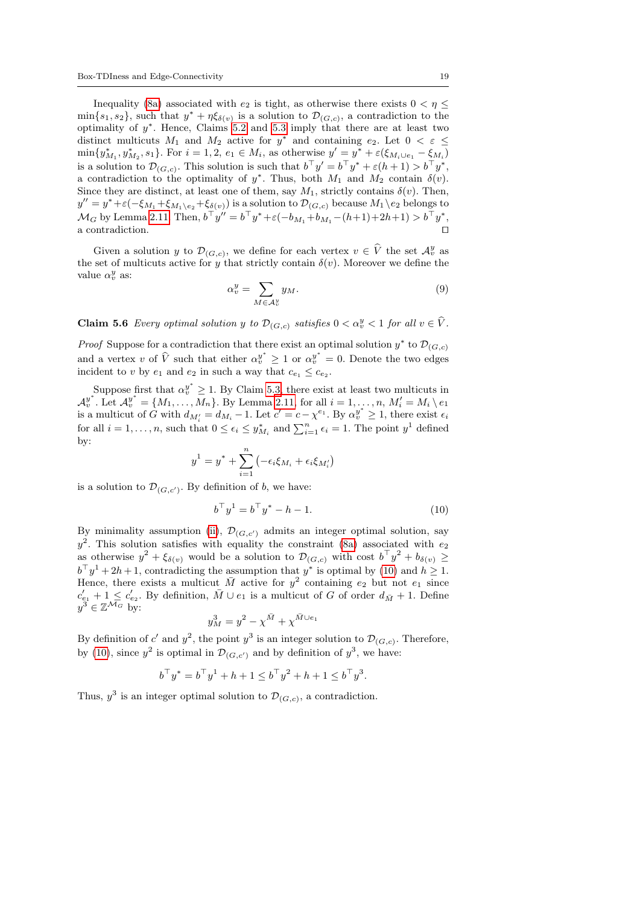Inequality [\(8a\)](#page-15-1) associated with  $e_2$  is tight, as otherwise there exists  $0 < \eta \leq$  $\min\{s_1, s_2\}$ , such that  $y^* + \eta \xi_{\delta(v)}$  is a solution to  $\mathcal{D}_{(G,c)}$ , a contradiction to the optimality of  $y^*$ . Hence, Claims [5.2](#page-16-3) and [5.3](#page-17-0) imply that there are at least two distinct multicuts  $M_1$  and  $M_2$  active for  $y^*$  and containing  $e_2$ . Let  $0 < \varepsilon \leq$  $\min\{y_{M_1}^*, y_{M_2}^*, s_1\}$ . For  $i = 1, 2, e_1 \in M_i$ , as otherwise  $y' = y^* + \varepsilon(\xi_{M_i \cup e_1} - \xi_{M_i})$ is a solution to  $\mathcal{D}_{(G,c)}$ . This solution is such that  $b^{\top}y' = b^{\top}y^* + \varepsilon(h+1) > b^{\top}y^*$ , a contradiction to the optimality of  $y^*$ . Thus, both  $M_1$  and  $M_2$  contain  $\delta(v)$ . Since they are distinct, at least one of them, say  $M_1$ , strictly contains  $\delta(v)$ . Then,  $y''=y^*+\varepsilon(-\xi_{M_1}+\xi_{M_1\setminus e_2}+\xi_{\delta(v)})$  is a solution to  $\mathcal{D}_{(G,c)}$  because  $M_1\setminus e_2$  belongs to  $\mathcal{M}_G$  by Lemma [2.11.](#page-6-5) Then,  $b^{\top}y'' = b^{\top}y^* + \varepsilon(-b_{M_1} + b_{M_1} - (h+1) + 2h + 1) > b^{\top}y^*$ , a contradiction.  $\Box$ 

Given a solution y to  $\mathcal{D}_{(G,c)}$ , we define for each vertex  $v \in \hat{V}$  the set  $\mathcal{A}_v^y$  as the set of multicuts active for y that strictly contain  $\delta(v)$ . Moreover we define the value  $\alpha_v^y$  as:

$$
\alpha_v^y = \sum_{M \in \mathcal{A}_v^y} y_M. \tag{9}
$$

<span id="page-18-1"></span>**Claim 5.6** Every optimal solution y to  $\mathcal{D}_{(G,c)}$  satisfies  $0 < \alpha_v^y < 1$  for all  $v \in \hat{V}$ .

*Proof* Suppose for a contradiction that there exist an optimal solution  $y^*$  to  $\mathcal{D}_{(G,c)}$ and a vertex v of  $\hat{V}$  such that either  $\alpha_v^{y^*} \ge 1$  or  $\alpha_v^{y^*} = 0$ . Denote the two edges incident to v by  $e_1$  and  $e_2$  in such a way that  $c_{e_1} \leq c_{e_2}$ .

Suppose first that  $\alpha_v^{y^*} \geq 1$ . By Claim [5.3,](#page-17-0) there exist at least two multicuts in  $\mathcal{A}_{v}^{y^*}$ . Let  $\mathcal{A}_{v}^{y^*} = \{M_1, \ldots, \overline{M}_n\}$ . By Lemma [2.11,](#page-6-5) for all  $i = 1, \ldots, n$ ,  $M_i' = M_i \setminus e_1$ is a multicut of G with  $d_{M'_i} = d_{M_i} - 1$ . Let  $c' = c - \chi^{e_1}$ . By  $\alpha_v^{y^*} \geq 1$ , there exist  $\epsilon_i$ for all  $i = 1, ..., n$ , such that  $0 \le \epsilon_i \le y_{M_i}^*$  and  $\sum_{i=1}^n \epsilon_i = 1$ . The point  $y^1$  defined by:

$$
y^1 = y^* + \sum_{i=1}^n \left(-\epsilon_i \xi_{M_i} + \epsilon_i \xi_{M'_i}\right)
$$

is a solution to  $\mathcal{D}_{(G,c')}$ . By definition of b, we have:

<span id="page-18-0"></span>
$$
b^{\top} y^1 = b^{\top} y^* - h - 1. \tag{10}
$$

By minimality assumption [\(ii\)](#page-16-1),  $\mathcal{D}_{(G,c')}$  admits an integer optimal solution, say  $y^2$ . This solution satisfies with equality the constraint [\(8a\)](#page-15-1) associated with  $e_2$ as otherwise  $y^2 + \xi_{\delta(v)}$  would be a solution to  $\mathcal{D}_{(G,c)}$  with cost  $b^{\top}y^2 + b_{\delta(v)} \geq$  $b^{\top}y^{1} + 2h + 1$ , contradicting the assumption that  $y^*$  is optimal by [\(10\)](#page-18-0) and  $h \geq 1$ . Hence, there exists a multicut  $\overline{M}$  active for  $y^2$  containing  $e_2$  but not  $e_1$  since  $c'_{e_1} + 1 \leq c'_{e_2}$ . By definition,  $\bar{M} \cup e_1$  is a multicut of G of order  $d_{\bar{M}} + 1$ . Define  $y^3 \in \mathbb{Z}^{\mathcal{M}_G}$  by:<br> $y^3 = y^2 = y^{\bar{M}} + y^{\bar{M} \cup e_1}$ 

$$
y_M^3 = y^2 - \chi^{\bar{M}} + \chi^{\bar{M} \cup e_1}
$$

By definition of c' and  $y^2$ , the point  $y^3$  is an integer solution to  $\mathcal{D}_{(G,c)}$ . Therefore, by [\(10\)](#page-18-0), since  $y^2$  is optimal in  $\mathcal{D}_{(G,c')}$  and by definition of  $y^3$ , we have:

$$
b^{\top}y^* = b^{\top}y^1 + h + 1 \le b^{\top}y^2 + h + 1 \le b^{\top}y^3.
$$

Thus,  $y^3$  is an integer optimal solution to  $\mathcal{D}_{(G,c)}$ , a contradiction.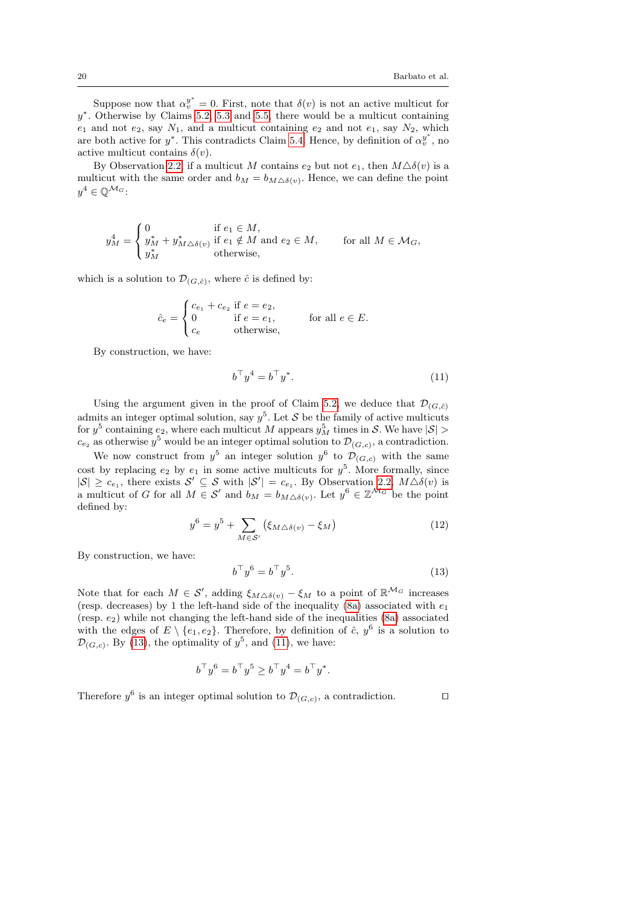Suppose now that  $\alpha_v^{y^*} = 0$ . First, note that  $\delta(v)$  is not an active multicut for  $y^*$ . Otherwise by Claims [5.2,](#page-16-3) [5.3](#page-17-0) and [5.5,](#page-17-1) there would be a multicut containing  $e_1$  and not  $e_2$ , say  $N_1$ , and a multicut containing  $e_2$  and not  $e_1$ , say  $N_2$ , which are both active for  $y^*$ . This contradicts Claim [5.4.](#page-17-2) Hence, by definition of  $\alpha_v^{y^*}$ , no active multicut contains  $\delta(v)$ .

By Observation [2.2,](#page-4-5) if a multicut M contains  $e_2$  but not  $e_1$ , then  $M\Delta\delta(v)$  is a multicut with the same order and  $b_M = b_{M \triangle \delta(v)}$ . Hence, we can define the point  $y^4\in\mathbb{Q}^{\mathcal{M}_G}$ :

$$
y_M^4 = \begin{cases} 0 & \text{if } e_1 \in M, \\ y_M^* + y_{M \triangle \delta(v)}^* & \text{if } e_1 \notin M \text{ and } e_2 \in M, \\ y_M^* & \text{otherwise,} \end{cases}
$$
 for all  $M \in \mathcal{M}_G$ ,

which is a solution to  $\mathcal{D}_{(G,\hat{c})}$ , where  $\hat{c}$  is defined by:

$$
\hat{c}_e = \begin{cases} c_{e_1} + c_{e_2} & \text{if } e = e_2, \\ 0 & \text{if } e = e_1, \\ c_e & \text{otherwise,} \end{cases} \qquad \text{for all } e \in E.
$$

By construction, we have:

<span id="page-19-1"></span>
$$
b^{\top}y^4 = b^{\top}y^*.
$$
 (11)

Using the argument given in the proof of Claim [5.2,](#page-16-3) we deduce that  $\mathcal{D}_{(G,\hat{c})}$ admits an integer optimal solution, say  $y^5$ . Let S be the family of active multicuts for  $y^5$  containing  $e_2$ , where each multicut M appears  $y_M^5$  times in S. We have  $|S|$  >  $c_{e_2}$  as otherwise  $y^5$  would be an integer optimal solution to  $\mathcal{D}_{(G,c)}$ , a contradiction.

We now construct from  $y^5$  an integer solution  $y^6$  to  $\mathcal{D}_{(G,c)}$  with the same cost by replacing  $e_2$  by  $e_1$  in some active multicuts for  $y^5$ . More formally, since  $|S| \geq c_{e_1}$ , there exists  $S' \subseteq S$  with  $|S'| = c_{e_1}$ . By Observation [2.2,](#page-4-5)  $M \Delta \delta(v)$  is a multicut of G for all  $M \in \mathcal{S}'$  and  $b_M = b_{M \triangle \delta(v)}$ . Let  $y^6 \in \mathbb{Z}^{\mathcal{M}_G}$  be the point defined by:

<span id="page-19-0"></span>
$$
y^6 = y^5 + \sum_{M \in \mathcal{S}'} (\xi_{M \triangle \delta(v)} - \xi_M)
$$
 (12)

By construction, we have:

$$
b^{\top}y^6 = b^{\top}y^5. \tag{13}
$$

Note that for each  $M \in \mathcal{S}'$ , adding  $\xi_{M\Delta\delta(v)} - \xi_M$  to a point of  $\mathbb{R}^{\mathcal{M}_G}$  increases (resp. decreases) by 1 the left-hand side of the inequality [\(8a\)](#page-15-1) associated with  $e_1$ (resp.  $e_2$ ) while not changing the left-hand side of the inequalities [\(8a\)](#page-15-1) associated with the edges of  $E \setminus \{e_1, e_2\}$ . Therefore, by definition of  $\hat{c}$ ,  $y^6$  is a solution to  $\mathcal{D}_{(G,c)}$ . By [\(13\)](#page-19-0), the optimality of  $y^5$ , and [\(11\)](#page-19-1), we have:

$$
b^{\top}y^{6} = b^{\top}y^{5} \ge b^{\top}y^{4} = b^{\top}y^{*}.
$$

Therefore  $y^6$  is an integer optimal solution to  $\mathcal{D}_{(G,c)}$ , a contradiction.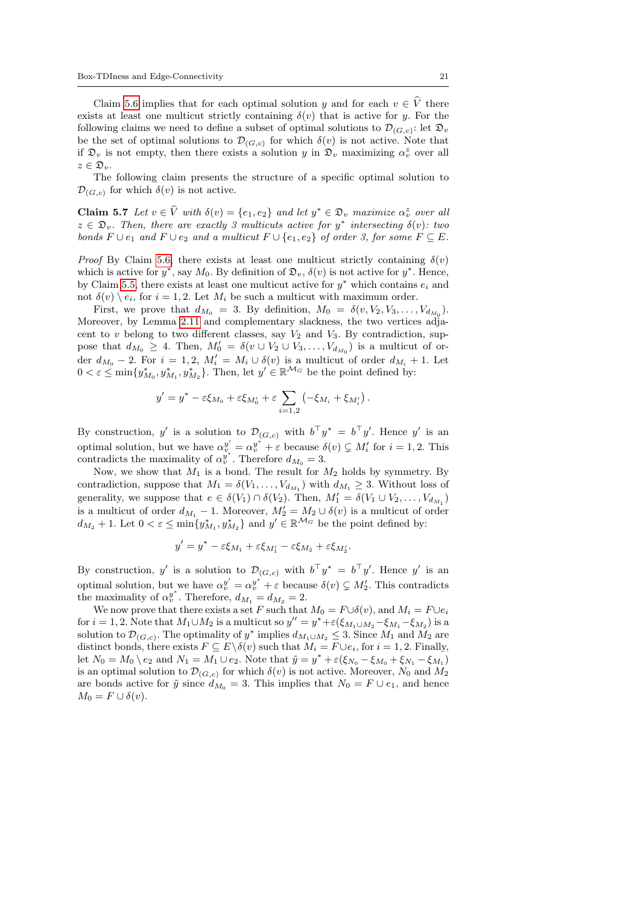Claim [5.6](#page-18-1) implies that for each optimal solution y and for each  $v \in \hat{V}$  there exists at least one multicut strictly containing  $\delta(v)$  that is active for y. For the following claims we need to define a subset of optimal solutions to  $\mathcal{D}_{(G,c)}$ : let  $\mathfrak{D}_v$ be the set of optimal solutions to  $\mathcal{D}_{(G,c)}$  for which  $\delta(v)$  is not active. Note that if  $\mathfrak{D}_v$  is not empty, then there exists a solution y in  $\mathfrak{D}_v$  maximizing  $\alpha_v^z$  over all  $z \in \mathfrak{D}_v$ .

<span id="page-20-0"></span>The following claim presents the structure of a specific optimal solution to  $\mathcal{D}_{(G,c)}$  for which  $\delta(v)$  is not active.

**Claim 5.7** Let  $v \in \hat{V}$  with  $\delta(v) = \{e_1, e_2\}$  and let  $y^* \in \mathfrak{D}_v$  maximize  $\alpha_v^z$  over all  $z \in \mathfrak{D}_v$ . Then, there are exactly 3 multicuts active for  $y^*$  intersecting  $\delta(v)$ : two bonds  $F \cup e_1$  and  $F \cup e_2$  and a multicut  $F \cup \{e_1, e_2\}$  of order 3, for some  $F \subseteq E$ .

*Proof* By Claim [5.6,](#page-18-1) there exists at least one multicut strictly containing  $\delta(v)$ which is active for  $y^*$ , say  $M_0$ . By definition of  $\mathfrak{D}_v$ ,  $\delta(v)$  is not active for  $y^*$ . Hence, by Claim [5.5,](#page-17-1) there exists at least one multicut active for  $y^*$  which contains  $e_i$  and not  $\delta(v) \setminus e_i$ , for  $i = 1, 2$ . Let  $M_i$  be such a multicut with maximum order.

First, we prove that  $d_{M_0} = 3$ . By definition,  $M_0 = \delta(v, V_2, V_3, \ldots, V_{d_{M_0}})$ . Moreover, by Lemma [2.11](#page-6-5) and complementary slackness, the two vertices adjacent to  $v$  belong to two different classes, say  $V_2$  and  $V_3$ . By contradiction, suppose that  $d_{M_0} \geq 4$ . Then,  $M'_0 = \delta(v \cup V_2 \cup V_3, \ldots, V_{d_{M_0}})$  is a multicut of order  $d_{M_0} - 2$ . For  $i = 1, 2, M'_i = M_i \cup \delta(v)$  is a multicut of order  $d_{M_i} + 1$ . Let  $0 < \varepsilon \le \min\{y_{M_0}^*, y_{M_1}^*, y_{M_2}^*\}$ . Then, let  $y' \in \mathbb{R}^{\mathcal{M}_G}$  be the point defined by:

$$
y'=y^*-\varepsilon \xi_{M_0}+\varepsilon \xi_{M'_0}+\varepsilon \sum_{i=1,2}\left(-\xi_{M_i}+\xi_{M'_i}\right).
$$

By construction, y' is a solution to  $\mathcal{D}_{(G,c)}$  with  $b^{\top}y^* = b^{\top}y'$ . Hence y' is an optimal solution, but we have  $\alpha_v^{y'} = \alpha_v^{y^*} + \varepsilon$  because  $\delta(v) \subsetneq M'_i$  for  $i = 1, 2$ . This contradicts the maximality of  $\alpha_v^{y^*}$ . Therefore  $d_{M_0} = 3$ .

Now, we show that  $M_1$  is a bond. The result for  $M_2$  holds by symmetry. By contradiction, suppose that  $M_1 = \delta(V_1, \ldots, V_{d_{M_1}})$  with  $d_{M_1} \geq 3$ . Without loss of generality, we suppose that  $e \in \delta(V_1) \cap \delta(V_2)$ . Then,  $M'_1 = \delta(V_1 \cup V_2, \ldots, V_{d_{M_1}})$ is a multicut of order  $d_{M_1} - 1$ . Moreover,  $M_2' = M_2 \cup \delta(v)$  is a multicut of order  $d_{M_2} + 1$ . Let  $0 < \varepsilon \le \min\{y_{M_1}^*, y_{M_2}^*\}$  and  $y' \in \mathbb{R}^{\mathcal{M}_G}$  be the point defined by:

$$
y'=y^*-\varepsilon\xi_{M_1}+\varepsilon\xi_{M_1'}-\varepsilon\xi_{M_2}+\varepsilon\xi_{M_2'}.
$$

By construction, y' is a solution to  $\mathcal{D}_{(G,c)}$  with  $b^{\top}y^* = b^{\top}y'$ . Hence y' is an optimal solution, but we have  $\alpha_v^{y'} = \alpha_v^{y^*} + \varepsilon$  because  $\delta(v) \subsetneq M'_2$ . This contradicts the maximality of  $\alpha_v^{y^*}$ . Therefore,  $d_{M_1} = d_{M_2} = 2$ .

We now prove that there exists a set F such that  $M_0 = F \cup \delta(v)$ , and  $M_i = F \cup e_i$ for  $i = 1, 2$ . Note that  $M_1 \cup M_2$  is a multicut so  $y'' = y^* + \varepsilon(\xi_{M_1 \cup M_2} - \xi_{M_1} - \xi_{M_2})$  is a solution to  $\mathcal{D}_{(G,c)}$ . The optimality of y<sup>\*</sup> implies  $d_{M_1\cup M_2} \leq 3$ . Since  $M_1$  and  $M_2$  are distinct bonds, there exists  $F \subseteq E \setminus \delta(v)$  such that  $M_i = F \cup e_i$ , for  $i = 1, 2$ . Finally, let  $N_0 = M_0 \setminus e_2$  and  $N_1 = M_1 \cup e_2$ . Note that  $\tilde{y} = y^* + \varepsilon (\xi_{N_0} - \xi_{M_0} + \xi_{N_1} - \xi_{M_1})$ is an optimal solution to  $\mathcal{D}_{(G,c)}$  for which  $\delta(v)$  is not active. Moreover,  $N_0$  and  $M_2$ are bonds active for  $\tilde{y}$  since  $d_{M_0} = 3$ . This implies that  $N_0 = F \cup e_1$ , and hence  $M_0 = F \cup \delta(v).$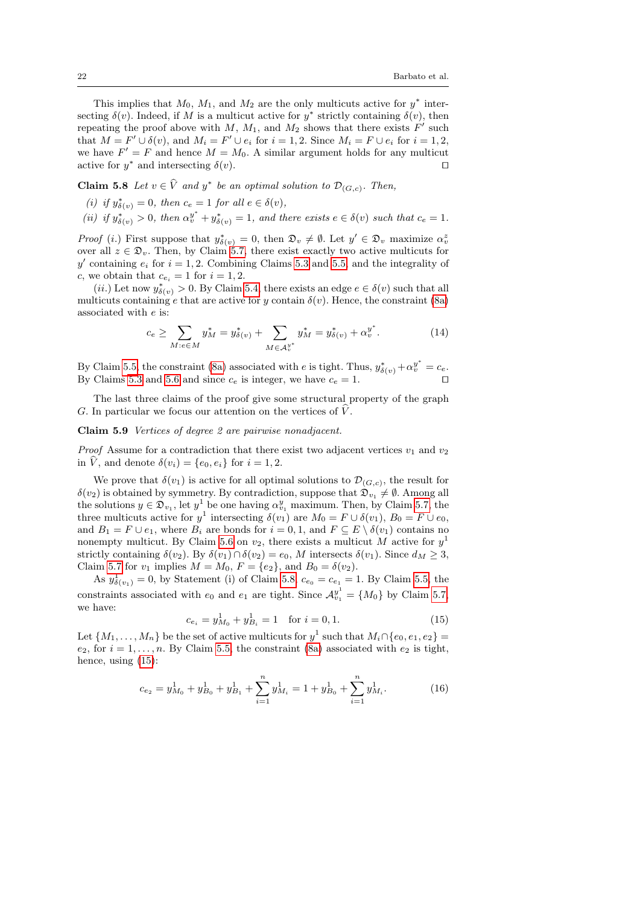This implies that  $M_0$ ,  $M_1$ , and  $M_2$  are the only multicuts active for  $y^*$  intersecting  $\delta(v)$ . Indeed, if M is a multicut active for  $y^*$  strictly containing  $\delta(v)$ , then repeating the proof above with  $M$ ,  $M_1$ , and  $M_2$  shows that there exists  $F'$  such that  $M = F' \cup \delta(v)$ , and  $M_i = F' \cup e_i$  for  $i = 1, 2$ . Since  $M_i = F \cup e_i$  for  $i = 1, 2$ , we have  $F' = F$  and hence  $M = M_0$ . A similar argument holds for any multicut active for  $y^*$  and intersecting  $\delta(v)$ .

# <span id="page-21-1"></span>**Claim 5.8** Let  $v \in \hat{V}$  and  $y^*$  be an optimal solution to  $\mathcal{D}_{(G,c)}$ . Then,

- (i) if  $y_{\delta(v)}^* = 0$ , then  $c_e = 1$  for all  $e \in \delta(v)$ ,
- (ii) if  $y_{\delta(v)}^* > 0$ , then  $\alpha_v^{y^*} + y_{\delta(v)}^* = 1$ , and there exists  $e \in \delta(v)$  such that  $c_e = 1$ .

*Proof* (*i*.) First suppose that  $y_{\delta(v)}^* = 0$ , then  $\mathfrak{D}_v \neq \emptyset$ . Let  $y' \in \mathfrak{D}_v$  maximize  $\alpha_v^2$ over all  $z \in \mathfrak{D}_v$ . Then, by Claim [5.7,](#page-20-0) there exist exactly two active multicuts for y' containing  $e_i$  for  $i = 1, 2$ . Combining Claims [5.3](#page-17-0) and [5.5,](#page-17-1) and the integrality of c, we obtain that  $c_{e_i} = 1$  for  $i = 1, 2$ .

(*ii.*) Let now  $y^*_{\delta(v)} > 0$ . By Claim [5.4,](#page-17-2) there exists an edge  $e \in \delta(v)$  such that all multicuts containing e that are active for y contain  $\delta(v)$ . Hence, the constraint [\(8a\)](#page-15-1) associated with e is:

$$
c_e \ge \sum_{M: e \in M} y_M^* = y_{\delta(v)}^* + \sum_{M \in \mathcal{A}_v^{y^*}} y_M^* = y_{\delta(v)}^* + \alpha_v^{y^*}.
$$
 (14)

By Claim [5.5,](#page-17-1) the constraint [\(8a\)](#page-15-1) associated with e is tight. Thus,  $y_{\delta(v)}^* + \alpha_v^{y^*} = c_e$ . By Claims [5.3](#page-17-0) and [5.6](#page-18-1) and since  $c_e$  is integer, we have  $c_e = 1$ .

The last three claims of the proof give some structural property of the graph G. In particular we focus our attention on the vertices of  $\hat{V}$ .

## <span id="page-21-0"></span>Claim 5.9 Vertices of degree 2 are pairwise nonadjacent.

*Proof* Assume for a contradiction that there exist two adjacent vertices  $v_1$  and  $v_2$ in  $\hat{V}$ , and denote  $\delta(v_i) = \{e_0, e_i\}$  for  $i = 1, 2$ .

We prove that  $\delta(v_1)$  is active for all optimal solutions to  $\mathcal{D}_{(G,c)}$ , the result for  $\delta(v_2)$  is obtained by symmetry. By contradiction, suppose that  $\mathfrak{D}_{v_1} \neq \emptyset$ . Among all the solutions  $y \in \mathfrak{D}_{v_1}$ , let  $y^1$  be one having  $\alpha_{v_1}^y$  maximum. Then, by Claim [5.7,](#page-20-0) the three multicuts active for  $y^1$  intersecting  $\delta(v_1)$  are  $M_0 = F \cup \delta(v_1)$ ,  $B_0 = F \cup e_0$ , and  $B_1 = F \cup e_1$ , where  $B_i$  are bonds for  $i = 0, 1$ , and  $F \subseteq E \setminus \delta(v_1)$  contains no nonempty multicut. By Claim [5.6](#page-18-1) on  $v_2$ , there exists a multicut M active for  $y<sup>1</sup>$ strictly containing  $\delta(v_2)$ . By  $\delta(v_1) \cap \delta(v_2) = e_0$ , M intersects  $\delta(v_1)$ . Since  $d_M \geq 3$ , Claim [5.7](#page-20-0) for  $v_1$  implies  $M = M_0$ ,  $F = \{e_2\}$ , and  $B_0 = \delta(v_2)$ .

<span id="page-21-2"></span>As  $y_{\delta(v_1)}^1 = 0$ , by Statement (i) of Claim [5.8,](#page-21-1)  $c_{e_0} = c_{e_1} = 1$ . By Claim [5.5,](#page-17-1) the constraints associated with  $e_0$  and  $e_1$  are tight. Since  $\mathcal{A}_{v_1}^{y^1} = \{M_0\}$  by Claim [5.7,](#page-20-0) we have:

$$
c_{e_i} = y_{M_0}^1 + y_{B_i}^1 = 1 \quad \text{for } i = 0, 1.
$$
 (15)

Let  $\{M_1, \ldots, M_n\}$  be the set of active multicuts for  $y^1$  such that  $M_i \cap \{e_0, e_1, e_2\} =$  $e_2$ , for  $i = 1, \ldots, n$ . By Claim [5.5,](#page-17-1) the constraint [\(8a\)](#page-15-1) associated with  $e_2$  is tight, hence, using [\(15\)](#page-21-2):

<span id="page-21-3"></span>
$$
c_{e_2} = y_{M_0}^1 + y_{B_0}^1 + y_{B_1}^1 + \sum_{i=1}^n y_{M_i}^1 = 1 + y_{B_0}^1 + \sum_{i=1}^n y_{M_i}^1.
$$
 (16)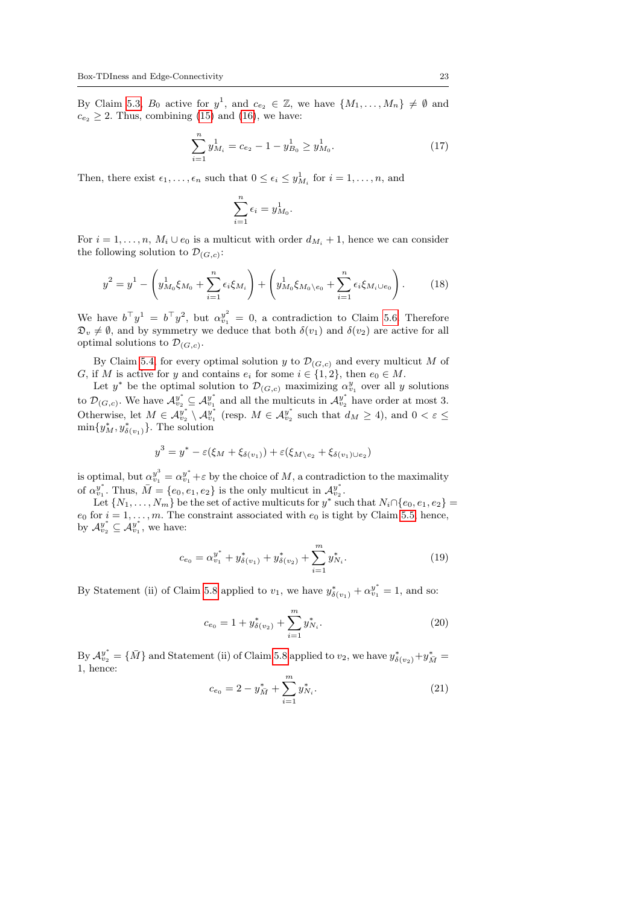By Claim [5.3,](#page-17-0)  $B_0$  active for  $y^1$ , and  $c_{e_2} \in \mathbb{Z}$ , we have  $\{M_1, \ldots, M_n\} \neq \emptyset$  and  $c_{e_2} \geq 2$ . Thus, combining [\(15\)](#page-21-2) and [\(16\)](#page-21-3), we have:

$$
\sum_{i=1}^{n} y_{M_i}^1 = c_{e_2} - 1 - y_{B_0}^1 \ge y_{M_0}^1.
$$
 (17)

Then, there exist  $\epsilon_1, \ldots, \epsilon_n$  such that  $0 \leq \epsilon_i \leq y_{M_i}^1$  for  $i = 1, \ldots, n$ , and

$$
\sum_{i=1}^n \epsilon_i = y_{M_0}^1.
$$

For  $i = 1, \ldots, n$ ,  $M_i \cup e_0$  is a multicut with order  $d_{M_i} + 1$ , hence we can consider the following solution to  $\mathcal{D}_{(G,c)}$ :

$$
y^{2} = y^{1} - \left(y_{M_{0}}^{1}\xi_{M_{0}} + \sum_{i=1}^{n} \epsilon_{i}\xi_{M_{i}}\right) + \left(y_{M_{0}}^{1}\xi_{M_{0}\setminus e_{0}} + \sum_{i=1}^{n} \epsilon_{i}\xi_{M_{i}\cup e_{0}}\right).
$$
 (18)

We have  $b^{\top}y^{1} = b^{\top}y^{2}$ , but  $\alpha_{v_{1}}^{y^{2}} = 0$ , a contradiction to Claim [5.6.](#page-18-1) Therefore  $\mathfrak{D}_v \neq \emptyset$ , and by symmetry we deduce that both  $\delta(v_1)$  and  $\delta(v_2)$  are active for all optimal solutions to  $\mathcal{D}_{(G,c)}$ .

By Claim [5.4,](#page-17-2) for every optimal solution y to  $\mathcal{D}_{(G,c)}$  and every multicut M of G, if M is active for y and contains  $e_i$  for some  $i \in \{1, 2\}$ , then  $e_0 \in M$ .

Let  $y^*$  be the optimal solution to  $\mathcal{D}_{(G,c)}$  maximizing  $\alpha_{v_1}^y$  over all y solutions to  $\mathcal{D}_{(G,c)}$ . We have  $\mathcal{A}_{v_2}^{y^*} \subseteq \mathcal{A}_{v_1}^{y^*}$  and all the multicuts in  $\mathcal{A}_{v_2}^{y^*}$  have order at most 3. Otherwise, let  $M \in \mathcal{A}_{v_2}^{y^*} \setminus \mathcal{A}_{v_1}^{y^*}$  (resp.  $M \in \mathcal{A}_{v_2}^{y^*}$  such that  $d_M \geq 4$ ), and  $0 < \varepsilon \leq$  $\min\{y_M^*, y_{\delta(v_1)}^*\}$ . The solution

$$
y^3 = y^* - \varepsilon (\xi_M + \xi_{\delta(v_1)}) + \varepsilon (\xi_{M \setminus e_2} + \xi_{\delta(v_1) \cup e_2})
$$

is optimal, but  $\alpha_{v_1}^{y^3} = \alpha_{v_1}^{y^*} + \varepsilon$  by the choice of M, a contradiction to the maximality of  $\alpha_{v_1}^{y^*}$ . Thus,  $\bar{M} = \{e_0, e_1, e_2\}$  is the only multicut in  $\mathcal{A}_{v_2}^{y^*}$ .

Let  $\{N_1, \ldots, N_m\}$  be the set of active multicuts for  $y^*$  such that  $N_i \cap \{e_0, e_1, e_2\}$  $e_0$  for  $i = 1, \ldots, m$ . The constraint associated with  $e_0$  is tight by Claim [5.5,](#page-17-1) hence, by  $\mathcal{A}_{v_2}^{y^*} \subseteq \mathcal{A}_{v_1}^{y^*}$ , we have:

$$
c_{e_0} = \alpha_{v_1}^{y^*} + y^*_{\delta(v_1)} + y^*_{\delta(v_2)} + \sum_{i=1}^m y^*_{N_i}.
$$
 (19)

By Statement (ii) of Claim [5.8](#page-21-1) applied to  $v_1$ , we have  $y_{\delta(v_1)}^* + \alpha_{v_1}^{y^*} = 1$ , and so:

$$
c_{e_0} = 1 + y_{\delta(v_2)}^* + \sum_{i=1}^m y_{N_i}^*.
$$
 (20)

<span id="page-22-0"></span>By  $\mathcal{A}_{v_2}^{y^*} = \{\bar{M}\}\$ and Statement (ii) of Claim [5.8](#page-21-1) applied to  $v_2$ , we have  $y^*_{\delta(v_2)} + y^*_{\bar{M}} =$ 1, hence:

$$
c_{e_0} = 2 - y_{\bar{M}}^* + \sum_{i=1}^m y_{N_i}^*.
$$
 (21)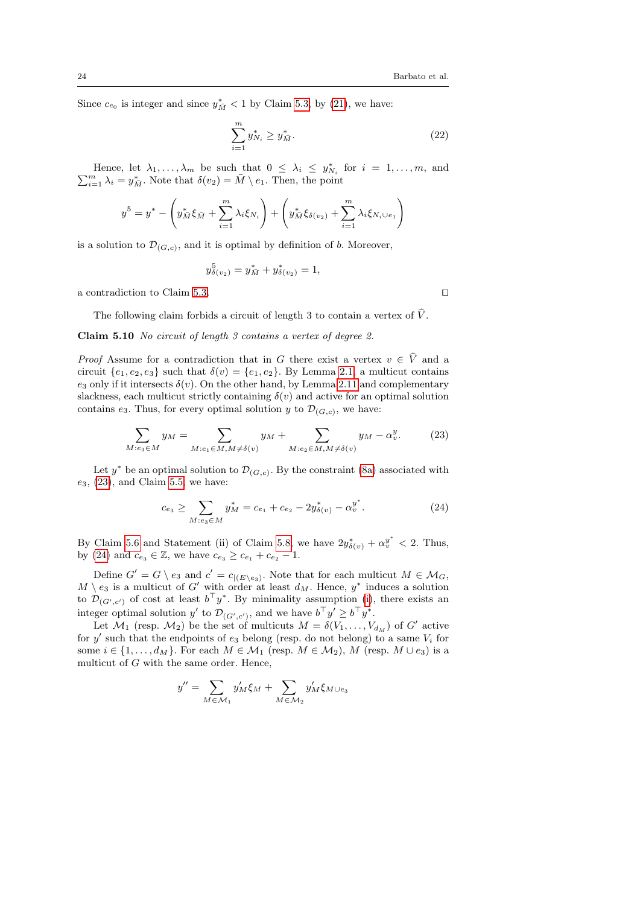Since  $c_{e_0}$  is integer and since  $y_M^*$  < 1 by Claim [5.3,](#page-17-0) by [\(21\)](#page-22-0), we have:

$$
\sum_{i=1}^{m} y_{N_i}^* \ge y_{\bar{M}}^*.
$$
\n(22)

Hence, let  $\lambda_1, \ldots, \lambda_m$  be such that  $0 \leq \lambda_i \leq y_{N_i}^*$  for  $i = 1, \ldots, m$ , and Thence, let  $\lambda_1, ..., \lambda_m$  be such that  $0 \leq \lambda_i \leq y_{N_i}$ <br>  $\sum_{i=1}^m \lambda_i = y_{M_i}^*$ . Note that  $\delta(v_2) = \overline{M} \setminus e_1$ . Then, the point

$$
y^{5} = y^{*} - \left(y_{\bar{M}}^{*}\xi_{\bar{M}} + \sum_{i=1}^{m} \lambda_{i}\xi_{N_{i}}\right) + \left(y_{\bar{M}}^{*}\xi_{\delta(v_{2})} + \sum_{i=1}^{m} \lambda_{i}\xi_{N_{i} \cup e_{1}}\right)
$$

is a solution to  $\mathcal{D}_{(G,c)}$ , and it is optimal by definition of b. Moreover,

$$
y_{\delta(v_2)}^5 = y_{\bar{M}}^* + y_{\delta(v_2)}^* = 1,
$$

a contradiction to Claim [5.3.](#page-17-0)  $\Box$ 

<span id="page-23-1"></span><span id="page-23-0"></span>

The following claim forbids a circuit of length 3 to contain a vertex of  $\hat{V}$ .

Claim 5.10 No circuit of length 3 contains a vertex of degree 2.

*Proof* Assume for a contradiction that in G there exist a vertex  $v \in \hat{V}$  and a circuit  $\{e_1, e_2, e_3\}$  such that  $\delta(v) = \{e_1, e_2\}$ . By Lemma [2.1,](#page-4-6) a multicut contains e<sub>3</sub> only if it intersects  $\delta(v)$ . On the other hand, by Lemma [2.11](#page-6-5) and complementary slackness, each multicut strictly containing  $\delta(v)$  and active for an optimal solution contains  $e_3$ . Thus, for every optimal solution y to  $\mathcal{D}_{(G,c)}$ , we have:

$$
\sum_{M:e_3\in M} y_M = \sum_{M:e_1\in M, M\neq \delta(v)} y_M + \sum_{M:e_2\in M, M\neq \delta(v)} y_M - \alpha_v^y. \tag{23}
$$

Let  $y^*$  be an optimal solution to  $\mathcal{D}_{(G,c)}$ . By the constraint [\(8a\)](#page-15-1) associated with  $e_3$ , [\(23\)](#page-23-1), and Claim [5.5,](#page-17-1) we have:

<span id="page-23-2"></span>
$$
c_{e_3} \ge \sum_{M: e_3 \in M} y_M^* = c_{e_1} + c_{e_2} - 2y_{\delta(v)}^* - \alpha_v^{y^*}.
$$
 (24)

By Claim [5.6](#page-18-1) and Statement (ii) of Claim [5.8,](#page-21-1) we have  $2y_{\delta(v)}^* + \alpha_v^{y^*} < 2$ . Thus, by [\(24\)](#page-23-2) and  $c_{e_3} \in \mathbb{Z}$ , we have  $c_{e_3} \ge c_{e_1} + c_{e_2} - 1$ .

Define  $G' = G \setminus e_3$  and  $c' = c_{|(E \setminus e_3)}$ . Note that for each multicut  $M \in \mathcal{M}_G$ ,  $M \setminus e_3$  is a multicut of G' with order at least  $d_M$ . Hence,  $y^*$  induces a solution to  $\mathcal{D}_{(G',c')}$  of cost at least  $b^{\top}y^*$ . By minimality assumption [\(i\)](#page-16-0), there exists an integer optimal solution y' to  $\mathcal{D}_{(G',c')}$ , and we have  $b^{\top}y' \geq b^{\top}y^*$ .

Let  $\mathcal{M}_1$  (resp.  $\mathcal{M}_2$ ) be the set of multicuts  $M = \delta(V_1, \ldots, V_{d_M})$  of G' active for  $y'$  such that the endpoints of  $e_3$  belong (resp. do not belong) to a same  $V_i$  for some  $i \in \{1, \ldots, d_M\}$ . For each  $M \in \mathcal{M}_1$  (resp.  $M \in \mathcal{M}_2$ ),  $M$  (resp.  $M \cup e_3$ ) is a multicut of G with the same order. Hence,

$$
y'' = \sum_{M \in \mathcal{M}_1} y'_M \xi_M + \sum_{M \in \mathcal{M}_2} y'_M \xi_{M \cup e_3}
$$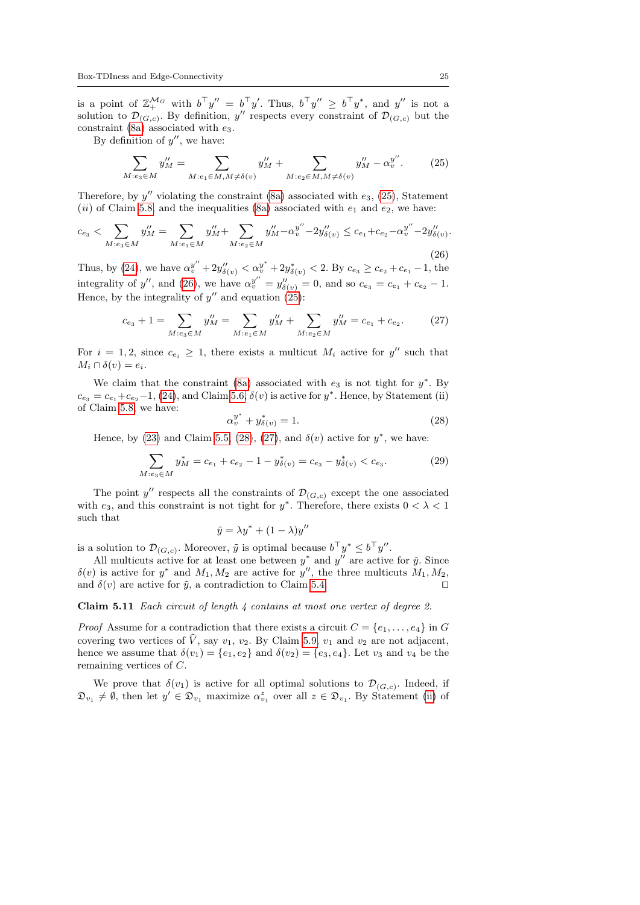is a point of  $\mathbb{Z}_{+}^{\mathcal{M}_G}$  with  $b^{\top}y'' = b^{\top}y'$ . Thus,  $b^{\top}y'' \geq b^{\top}y^*$ , and  $y''$  is not a solution to  $\mathcal{D}_{(G,c)}$ . By definition, y'' respects every constraint of  $\mathcal{D}_{(G,c)}$  but the constraint  $(8a)$  associated with  $e_3$ .

By definition of  $y''$ , we have:

<span id="page-24-1"></span>
$$
\sum_{M: e_3 \in M} y_M'' = \sum_{M: e_1 \in M, M \neq \delta(v)} y_M'' + \sum_{M: e_2 \in M, M \neq \delta(v)} y_M'' - \alpha_v^{y''}.
$$
 (25)

Therefore, by  $y''$  violating the constraint [\(8a\)](#page-15-1) associated with  $e_3$ , [\(25\)](#page-24-1), Statement (ii) of Claim [5.8,](#page-21-1) and the inequalities [\(8a\)](#page-15-1) associated with  $e_1$  and  $e_2$ , we have:

$$
c_{e_3} < \sum_{M: e_3 \in M} y_M'' = \sum_{M: e_1 \in M} y_M'' + \sum_{M: e_2 \in M} y_M'' - \alpha_v^{y''} - 2y_{\delta(v)}'' \le c_{e_1} + c_{e_2} - \alpha_v^{y''} - 2y_{\delta(v)}''.
$$
\n
$$
(26)
$$

Thus, by [\(24\)](#page-23-2), we have  $\alpha_v^{y''} + 2y_{\delta(v)}'' < \alpha_v^{y^*} + 2y_{\delta(v)}^* < 2$ . By  $c_{e_3} \ge c_{e_2} + c_{e_1} - 1$ , the integrality of y'', and [\(26\)](#page-24-2), we have  $\alpha_v^{y''} = y_{\delta(v)}'' = 0$ , and so  $c_{e_3} = c_{e_1} + c_{e_2} - 1$ . Hence, by the integrality of  $y''$  and equation [\(25\)](#page-24-1):

$$
c_{e_3} + 1 = \sum_{M: e_3 \in M} y_M'' = \sum_{M: e_1 \in M} y_M'' + \sum_{M: e_2 \in M} y_M'' = c_{e_1} + c_{e_2}.
$$
 (27)

For  $i = 1, 2$ , since  $c_{e_i} \geq 1$ , there exists a multicut  $M_i$  active for y'' such that  $M_i \cap \delta(v) = e_i.$ 

We claim that the constraint [\(8a\)](#page-15-1) associated with  $e_3$  is not tight for  $y^*$ . By  $c_{e_3} = c_{e_1} + c_{e_2} - 1$ , [\(24\)](#page-23-2), and Claim [5.6,](#page-18-1)  $\delta(v)$  is active for  $y^*$ . Hence, by Statement (ii) of Claim [5.8,](#page-21-1) we have: ∗

<span id="page-24-4"></span><span id="page-24-3"></span><span id="page-24-2"></span>
$$
\alpha_v^{y^*} + y_{\delta(v)}^* = 1. \tag{28}
$$

Hence, by [\(23\)](#page-23-1) and Claim [5.5,](#page-17-1) [\(28\)](#page-24-3), [\(27\)](#page-24-4), and  $\delta(v)$  active for  $y^*$ , we have:

$$
\sum_{M: e_3 \in M} y_M^* = c_{e_1} + c_{e_2} - 1 - y_{\delta(v)}^* = c_{e_3} - y_{\delta(v)}^* < c_{e_3}.\tag{29}
$$

The point y'' respects all the constraints of  $\mathcal{D}_{(G,c)}$  except the one associated with  $e_3$ , and this constraint is not tight for  $y^*$ . Therefore, there exists  $0 < \lambda < 1$ such that

$$
\tilde{y} = \lambda y^* + (1 - \lambda) y''
$$

is a solution to  $\mathcal{D}_{(G,c)}$ . Moreover,  $\tilde{y}$  is optimal because  $b^{\top} y^* \leq b^{\top} y''$ .

All multicuts active for at least one between  $y^*$  and  $y''$  are active for  $\tilde{y}$ . Since  $\delta(v)$  is active for  $y^*$  and  $M_1, M_2$  are active for  $y''$ , the three multicuts  $M_1, M_2$ , and  $\delta(v)$  are active for  $\tilde{y}$ , a contradiction to Claim [5.4.](#page-17-2)

<span id="page-24-0"></span>Claim 5.11 Each circuit of length 4 contains at most one vertex of degree 2.

*Proof* Assume for a contradiction that there exists a circuit  $C = \{e_1, \ldots, e_4\}$  in G covering two vertices of  $\hat{V}$ , say  $v_1$ ,  $v_2$ . By Claim [5.9,](#page-21-0)  $v_1$  and  $v_2$  are not adjacent, hence we assume that  $\delta(v_1) = \{e_1, e_2\}$  and  $\delta(v_2) = \{e_3, e_4\}$ . Let  $v_3$  and  $v_4$  be the remaining vertices of C.

We prove that  $\delta(v_1)$  is active for all optimal solutions to  $\mathcal{D}_{(G,c)}$ . Indeed, if  $\mathfrak{D}_{v_1} \neq \emptyset$ , then let  $y' \in \mathfrak{D}_{v_1}$  maximize  $\alpha_{v_1}^z$  over all  $z \in \mathfrak{D}_{v_1}$ . By Statement [\(ii\)](#page-6-6) of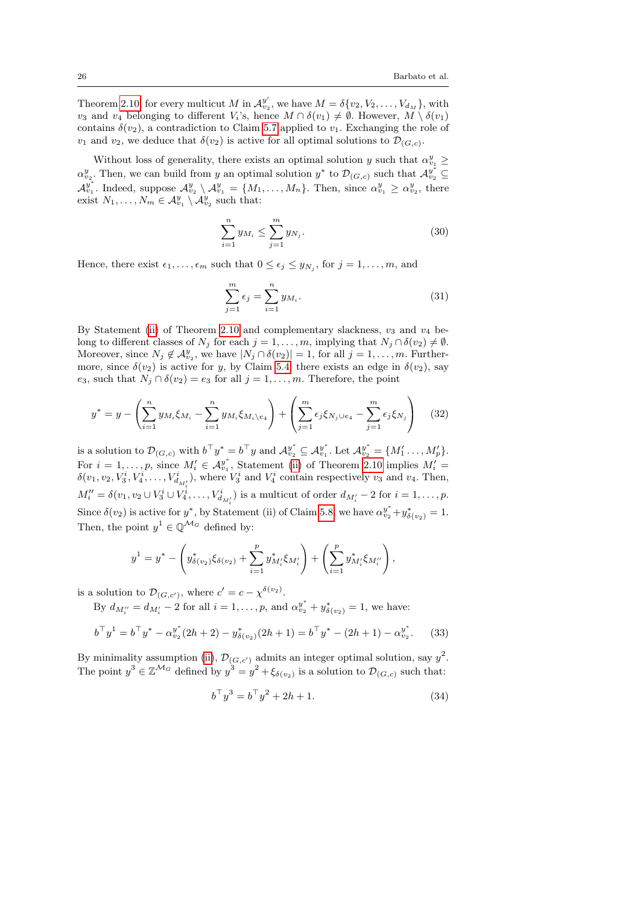Theorem [2.10,](#page-6-4) for every multicut M in  $\mathcal{A}_{v_2}^{y'}$ , we have  $M = \delta\{v_2, V_2, \ldots, V_{d_M}\}\,$  with  $v_3$  and  $v_4$  belonging to different  $V_i$ 's, hence  $M \cap \delta(v_1) \neq \emptyset$ . However,  $\overline{M} \setminus \delta(v_1)$ contains  $\delta(v_2)$ , a contradiction to Claim [5.7](#page-20-0) applied to  $v_1$ . Exchanging the role of  $v_1$  and  $v_2$ , we deduce that  $\delta(v_2)$  is active for all optimal solutions to  $\mathcal{D}_{(G,c)}$ .

Without loss of generality, there exists an optimal solution y such that  $\alpha_{v_1}^y \geq$  $\alpha_{v_2}^y$ . Then, we can build from y an optimal solution  $y^*$  to  $\mathcal{D}_{(G,c)}$  such that  $\mathcal{A}_{v_2}^{y^*} \subseteq$  $\mathcal{A}_{v_1}^{y^*}$ . Indeed, suppose  $\mathcal{A}_{v_2}^y \setminus \mathcal{A}_{v_1}^y = \{M_1, \ldots, M_n\}$ . Then, since  $\alpha_{v_1}^y \geq \alpha_{v_2}^y$ , there exist  $N_1, \ldots, N_m \in \mathcal{A}_{v_1}^y \setminus \mathcal{A}_{v_2}^y$  such that:

$$
\sum_{i=1}^{n} y_{M_i} \le \sum_{j=1}^{m} y_{N_j}.
$$
\n(30)

Hence, there exist  $\epsilon_1, \ldots, \epsilon_m$  such that  $0 \leq \epsilon_j \leq y_{N_j}$ , for  $j = 1, \ldots, m$ , and

$$
\sum_{j=1}^{m} \epsilon_j = \sum_{i=1}^{n} y_{M_i}.
$$
\n(31)

By Statement [\(ii\)](#page-6-6) of Theorem [2.10](#page-6-4) and complementary slackness,  $v_3$  and  $v_4$  belong to different classes of  $N_j$  for each  $j = 1, \ldots, m$ , implying that  $N_j \cap \delta(v_2) \neq \emptyset$ . Moreover, since  $N_j \notin \mathcal{A}_{v_2}^y$ , we have  $|N_j \cap \delta(v_2)| = 1$ , for all  $j = 1, \ldots, m$ . Furthermore, since  $\delta(v_2)$  is active for y, by Claim [5.4,](#page-17-2) there exists an edge in  $\delta(v_2)$ , say e<sub>3</sub>, such that  $N_j \cap \delta(v_2) = e_3$  for all  $j = 1, \ldots, m$ . Therefore, the point

$$
y^* = y - \left(\sum_{i=1}^n y_{M_i} \xi_{M_i} - \sum_{i=1}^n y_{M_i} \xi_{M_i} \xi_{M_i} \right) + \left(\sum_{j=1}^m \epsilon_j \xi_{N_j \cup e_4} - \sum_{j=1}^m \epsilon_j \xi_{N_j} \right) \tag{32}
$$

is a solution to  $\mathcal{D}_{(G,c)}$  with  $b^{\top}y^* = b^{\top}y$  and  $\mathcal{A}_{v_2}^{y^*} \subseteq \mathcal{A}_{v_1}^{y^*}$ . Let  $\mathcal{A}_{v_2}^{y^*} = \{M'_1, \ldots, M'_p\}$ . For  $i = 1, \ldots, p$ , since  $M'_i \in \mathcal{A}_{v_1}^{y^*}$ , Statement [\(ii\)](#page-6-6) of Theorem [2.10](#page-6-4) implies  $M'_i =$  $\delta(v_1, v_2, V_3^i, V_4^i, \dots, V_{d_{M'_i}}^i)$ , where  $V_3^i$  and  $V_4^i$  contain respectively  $v_3$  and  $v_4$ . Then,  $M''_i = \delta(v_1, v_2 \cup V_3^i \cup V_4^i, \dots, V_{d_{M'_i}}^i)$  is a multicut of order  $d_{M'_i} - 2$  for  $i = 1, \dots, p$ . Since  $\delta(v_2)$  is active for  $y^*$ , by Statement (ii) of Claim [5.8,](#page-21-1) we have  $\alpha_{v_2}^{y^*} + y_{\delta(v_2)}^* = 1$ . Then, the point  $y^1 \in \mathbb{Q}^{\mathcal{M}_G}$  defined by:

$$
y^{1} = y^{*} - \left(y^{*}_{\delta(v_{2})}\xi_{\delta(v_{2})} + \sum_{i=1}^{p} y^{*}_{M'_{i}}\xi_{M'_{i}}\right) + \left(\sum_{i=1}^{p} y^{*}_{M'_{i}}\xi_{M''_{i}}\right),
$$

is a solution to  $\mathcal{D}_{(G,c')}$ , where  $c' = c - \chi^{\delta(v_2)}$ .

By  $d_{M''_i} = d_{M'_i} - 2$  for all  $i = 1, ..., p$ , and  $\alpha_{v_2}^{y^*} + y^*_{\delta(v_2)} = 1$ , we have:

$$
b^{\top}y^{1} = b^{\top}y^{*} - \alpha_{v_{2}}^{y^{*}}(2h+2) - y_{\delta(v_{2})}^{*}(2h+1) = b^{\top}y^{*} - (2h+1) - \alpha_{v_{2}}^{y^{*}}.
$$
 (33)

By minimality assumption [\(ii\)](#page-16-1),  $\mathcal{D}_{(G,c')}$  admits an integer optimal solution, say  $y^2$ . The point  $y^3 \in \mathbb{Z}^{\mathcal{M}_G}$  defined by  $y^3 = y^2 + \xi_{\delta(v_2)}$  is a solution to  $\mathcal{D}_{(G,c)}$  such that:

<span id="page-25-1"></span><span id="page-25-0"></span>
$$
b^{\top}y^3 = b^{\top}y^2 + 2h + 1.
$$
 (34)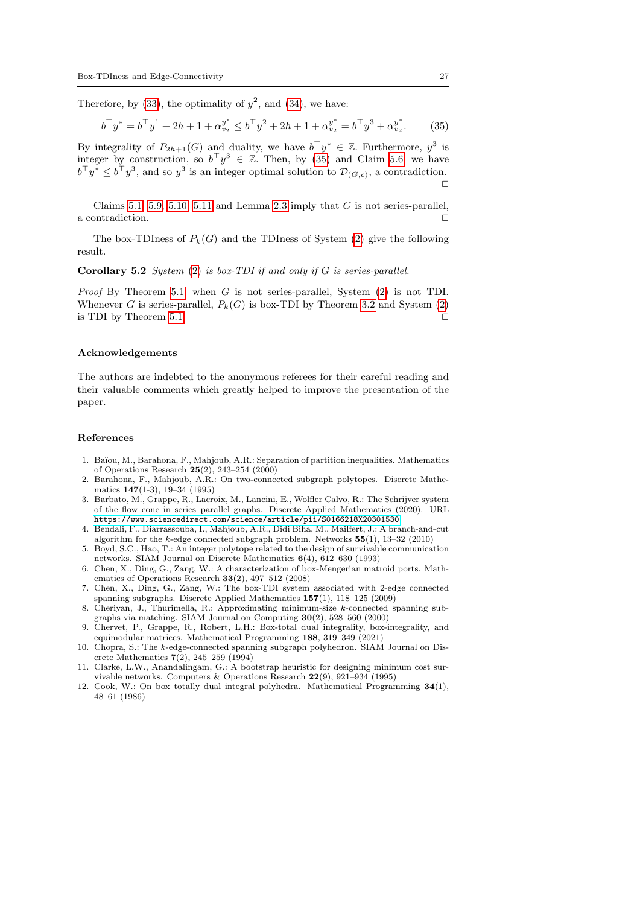Therefore, by [\(33\)](#page-25-0), the optimality of  $y^2$ , and [\(34\)](#page-25-1), we have:

<span id="page-26-12"></span>
$$
b^{\top} y^* = b^{\top} y^1 + 2h + 1 + \alpha_{v_2}^{y^*} \le b^{\top} y^2 + 2h + 1 + \alpha_{v_2}^{y^*} = b^{\top} y^3 + \alpha_{v_2}^{y^*}.
$$
 (35)

By integrality of  $P_{2h+1}(G)$  and duality, we have  $b^{\top}y^* \in \mathbb{Z}$ . Furthermore,  $y^3$  is integer by construction, so  $b^{\top}y^3 \in \mathbb{Z}$ . Then, by [\(35\)](#page-26-12) and Claim [5.6,](#page-18-1) we have  $b^{\top}y^* \leq b^{\top}y^3$ , and so  $y^3$  is an integer optimal solution to  $\mathcal{D}_{(G,c)}$ , a contradiction.  $\Box$ 

Claims [5.1,](#page-16-2) [5.9,](#page-21-0) [5.10,](#page-23-0) [5.11](#page-24-0) and Lemma [2.3](#page-4-0) imply that  $G$  is not series-parallel, a contradiction.  $\Box$ 

The box-TDIness of  $P_k(G)$  and the TDIness of System [\(2\)](#page-5-0) give the following result.

#### Corollary 5.2 System [\(2\)](#page-5-0) is box-TDI if and only if G is series-parallel.

*Proof* By Theorem [5.1,](#page-15-1) when G is not series-parallel, System  $(2)$  is not TDI. Whenever G is series-parallel,  $P_k(G)$  is box-TDI by Theorem [3.2](#page-8-0) and System [\(2\)](#page-5-0) is TDI by Theorem [5.1.](#page-15-1)  $\Box$ 

#### Acknowledgements

The authors are indebted to the anonymous referees for their careful reading and their valuable comments which greatly helped to improve the presentation of the paper.

#### References

- <span id="page-26-8"></span>1. Ba¨ıou, M., Barahona, F., Mahjoub, A.R.: Separation of partition inequalities. Mathematics of Operations Research 25(2), 243–254 (2000)
- <span id="page-26-9"></span>2. Barahona, F., Mahjoub, A.R.: On two-connected subgraph polytopes. Discrete Mathematics 147(1-3), 19–34 (1995)
- <span id="page-26-2"></span>3. Barbato, M., Grappe, R., Lacroix, M., Lancini, E., Wolfler Calvo, R.: The Schrijver system of the flow cone in series–parallel graphs. Discrete Applied Mathematics (2020). URL <https://www.sciencedirect.com/science/article/pii/S0166218X20301530>
- <span id="page-26-4"></span>4. Bendali, F., Diarrassouba, I., Mahjoub, A.R., Didi Biha, M., Mailfert, J.: A branch-and-cut algorithm for the  $k$ -edge connected subgraph problem. Networks  $55(1)$ ,  $13-32$  (2010)
- <span id="page-26-10"></span>5. Boyd, S.C., Hao, T.: An integer polytope related to the design of survivable communication networks. SIAM Journal on Discrete Mathematics 6(4), 612–630 (1993)
- <span id="page-26-1"></span>6. Chen, X., Ding, G., Zang, W.: A characterization of box-Mengerian matroid ports. Mathematics of Operations Research 33(2), 497–512 (2008)
- <span id="page-26-3"></span>7. Chen, X., Ding, G., Zang, W.: The box-TDI system associated with 2-edge connected spanning subgraphs. Discrete Applied Mathematics 157(1), 118–125 (2009)
- <span id="page-26-5"></span>8. Cheriyan, J., Thurimella, R.: Approximating minimum-size k-connected spanning subgraphs via matching. SIAM Journal on Computing 30(2), 528–560 (2000)
- <span id="page-26-11"></span>9. Chervet, P., Grappe, R., Robert, L.H.: Box-total dual integrality, box-integrality, and equimodular matrices. Mathematical Programming 188, 319–349 (2021)
- <span id="page-26-7"></span>10. Chopra, S.: The k-edge-connected spanning subgraph polyhedron. SIAM Journal on Discrete Mathematics 7(2), 245–259 (1994)
- <span id="page-26-6"></span>11. Clarke, L.W., Anandalingam, G.: A bootstrap heuristic for designing minimum cost survivable networks. Computers & Operations Research 22(9), 921–934 (1995)
- <span id="page-26-0"></span>12. Cook, W.: On box totally dual integral polyhedra. Mathematical Programming 34(1), 48–61 (1986)